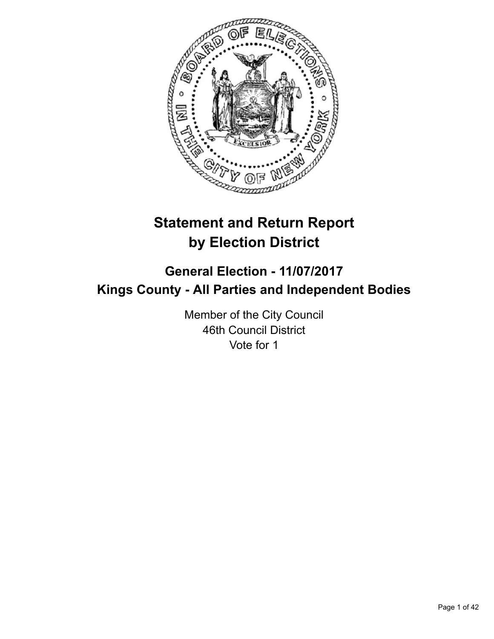

# **Statement and Return Report by Election District**

# **General Election - 11/07/2017 Kings County - All Parties and Independent Bodies**

Member of the City Council 46th Council District Vote for 1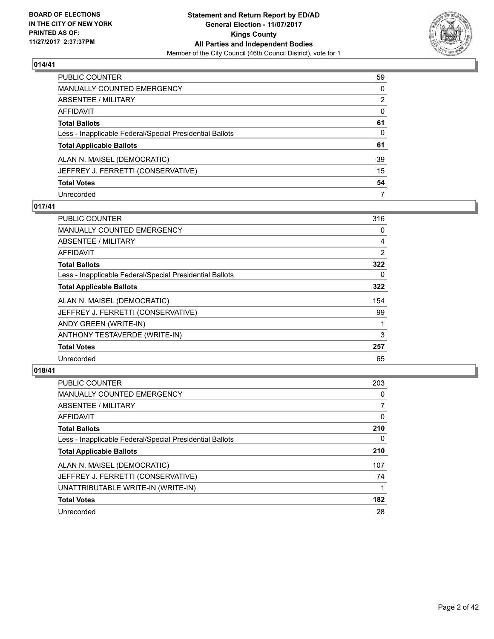

| PUBLIC COUNTER                                           | 59       |
|----------------------------------------------------------|----------|
| <b>MANUALLY COUNTED EMERGENCY</b>                        | 0        |
| <b>ABSENTEE / MILITARY</b>                               | 2        |
| AFFIDAVIT                                                | $\Omega$ |
| <b>Total Ballots</b>                                     | 61       |
| Less - Inapplicable Federal/Special Presidential Ballots | 0        |
| <b>Total Applicable Ballots</b>                          | 61       |
| ALAN N. MAISEL (DEMOCRATIC)                              | 39       |
| JEFFREY J. FERRETTI (CONSERVATIVE)                       | 15       |
| <b>Total Votes</b>                                       | 54       |
| Unrecorded                                               | 7        |

# **017/41**

| PUBLIC COUNTER                                           | 316 |
|----------------------------------------------------------|-----|
| <b>MANUALLY COUNTED EMERGENCY</b>                        | 0   |
| ABSENTEE / MILITARY                                      | 4   |
| AFFIDAVIT                                                | 2   |
| <b>Total Ballots</b>                                     | 322 |
| Less - Inapplicable Federal/Special Presidential Ballots | 0   |
| <b>Total Applicable Ballots</b>                          | 322 |
| ALAN N. MAISEL (DEMOCRATIC)                              | 154 |
| JEFFREY J. FERRETTI (CONSERVATIVE)                       | 99  |
| ANDY GREEN (WRITE-IN)                                    |     |
| ANTHONY TESTAVERDE (WRITE-IN)                            | 3   |
| <b>Total Votes</b>                                       | 257 |
| Unrecorded                                               | 65  |

| <b>PUBLIC COUNTER</b>                                    | 203 |
|----------------------------------------------------------|-----|
| <b>MANUALLY COUNTED EMERGENCY</b>                        | 0   |
| ABSENTEE / MILITARY                                      |     |
| <b>AFFIDAVIT</b>                                         | 0   |
| <b>Total Ballots</b>                                     | 210 |
| Less - Inapplicable Federal/Special Presidential Ballots | 0   |
| <b>Total Applicable Ballots</b>                          | 210 |
| ALAN N. MAISEL (DEMOCRATIC)                              | 107 |
| JEFFREY J. FERRETTI (CONSERVATIVE)                       | 74  |
| UNATTRIBUTABLE WRITE-IN (WRITE-IN)                       |     |
| <b>Total Votes</b>                                       | 182 |
| Unrecorded                                               | 28  |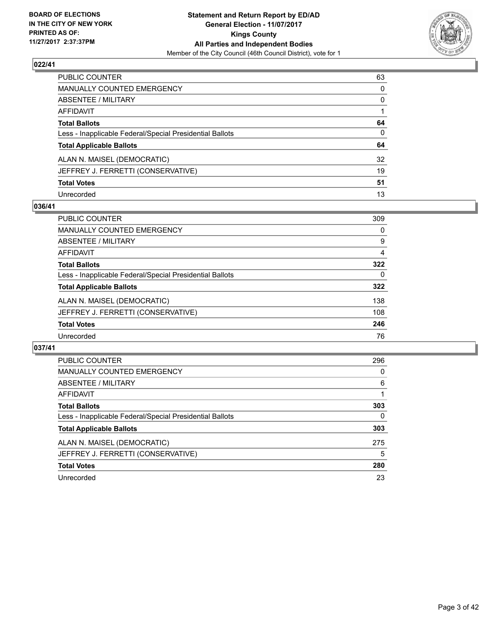

| PUBLIC COUNTER                                           | 63           |
|----------------------------------------------------------|--------------|
| <b>MANUALLY COUNTED EMERGENCY</b>                        | $\mathbf{0}$ |
| <b>ABSENTEE / MILITARY</b>                               | $\mathbf{0}$ |
| AFFIDAVIT                                                |              |
| <b>Total Ballots</b>                                     | 64           |
| Less - Inapplicable Federal/Special Presidential Ballots | $\mathbf{0}$ |
| <b>Total Applicable Ballots</b>                          | 64           |
| ALAN N. MAISEL (DEMOCRATIC)                              | 32           |
| JEFFREY J. FERRETTI (CONSERVATIVE)                       | 19           |
| <b>Total Votes</b>                                       | 51           |
| Unrecorded                                               | 13           |

# **036/41**

| <b>PUBLIC COUNTER</b>                                    | 309 |
|----------------------------------------------------------|-----|
| MANUALLY COUNTED EMERGENCY                               | 0   |
| ABSENTEE / MILITARY                                      | 9   |
| AFFIDAVIT                                                | 4   |
| <b>Total Ballots</b>                                     | 322 |
| Less - Inapplicable Federal/Special Presidential Ballots | 0   |
| <b>Total Applicable Ballots</b>                          | 322 |
| ALAN N. MAISEL (DEMOCRATIC)                              | 138 |
| JEFFREY J. FERRETTI (CONSERVATIVE)                       | 108 |
| <b>Total Votes</b>                                       | 246 |
| Unrecorded                                               | 76  |

| <b>PUBLIC COUNTER</b>                                    | 296 |
|----------------------------------------------------------|-----|
| <b>MANUALLY COUNTED EMERGENCY</b>                        | 0   |
| ABSENTEE / MILITARY                                      | 6   |
| AFFIDAVIT                                                |     |
| <b>Total Ballots</b>                                     | 303 |
| Less - Inapplicable Federal/Special Presidential Ballots | 0   |
| <b>Total Applicable Ballots</b>                          | 303 |
| ALAN N. MAISEL (DEMOCRATIC)                              | 275 |
| JEFFREY J. FERRETTI (CONSERVATIVE)                       | 5   |
| <b>Total Votes</b>                                       | 280 |
| Unrecorded                                               | 23  |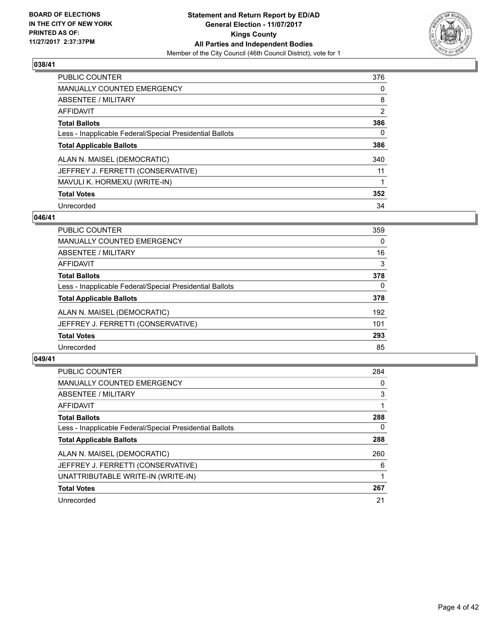

| <b>PUBLIC COUNTER</b>                                    | 376            |
|----------------------------------------------------------|----------------|
| MANUALLY COUNTED EMERGENCY                               | 0              |
| ABSENTEE / MILITARY                                      | 8              |
| AFFIDAVIT                                                | $\overline{2}$ |
| <b>Total Ballots</b>                                     | 386            |
| Less - Inapplicable Federal/Special Presidential Ballots | 0              |
| <b>Total Applicable Ballots</b>                          | 386            |
| ALAN N. MAISEL (DEMOCRATIC)                              | 340            |
| JEFFREY J. FERRETTI (CONSERVATIVE)                       | 11             |
| MAVULI K. HORMEXU (WRITE-IN)                             |                |
| <b>Total Votes</b>                                       | 352            |
| Unrecorded                                               | 34             |

# **046/41**

| <b>PUBLIC COUNTER</b>                                    | 359      |
|----------------------------------------------------------|----------|
| MANUALLY COUNTED EMERGENCY                               | 0        |
| ABSENTEE / MILITARY                                      | 16       |
| AFFIDAVIT                                                | 3        |
| <b>Total Ballots</b>                                     | 378      |
| Less - Inapplicable Federal/Special Presidential Ballots | $\Omega$ |
| <b>Total Applicable Ballots</b>                          | 378      |
| ALAN N. MAISEL (DEMOCRATIC)                              | 192      |
| JEFFREY J. FERRETTI (CONSERVATIVE)                       | 101      |
| <b>Total Votes</b>                                       | 293      |
| Unrecorded                                               | 85       |

| <b>PUBLIC COUNTER</b>                                    | 284      |
|----------------------------------------------------------|----------|
| <b>MANUALLY COUNTED EMERGENCY</b>                        | 0        |
| ABSENTEE / MILITARY                                      | 3        |
| <b>AFFIDAVIT</b>                                         |          |
| <b>Total Ballots</b>                                     | 288      |
| Less - Inapplicable Federal/Special Presidential Ballots | $\Omega$ |
| <b>Total Applicable Ballots</b>                          | 288      |
| ALAN N. MAISEL (DEMOCRATIC)                              | 260      |
| JEFFREY J. FERRETTI (CONSERVATIVE)                       | 6        |
| UNATTRIBUTABLE WRITE-IN (WRITE-IN)                       |          |
| <b>Total Votes</b>                                       | 267      |
| Unrecorded                                               | 21       |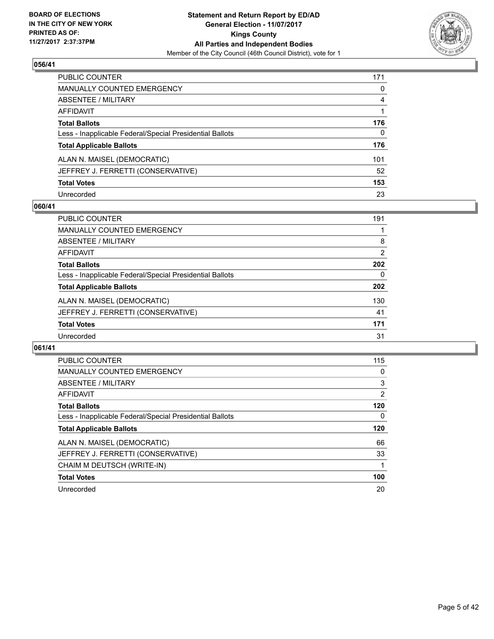

| <b>PUBLIC COUNTER</b>                                    | 171          |
|----------------------------------------------------------|--------------|
| <b>MANUALLY COUNTED EMERGENCY</b>                        | 0            |
| <b>ABSENTEE / MILITARY</b>                               | 4            |
| <b>AFFIDAVIT</b>                                         |              |
| <b>Total Ballots</b>                                     | 176          |
| Less - Inapplicable Federal/Special Presidential Ballots | $\mathbf{0}$ |
| <b>Total Applicable Ballots</b>                          | 176          |
| ALAN N. MAISEL (DEMOCRATIC)                              | 101          |
| JEFFREY J. FERRETTI (CONSERVATIVE)                       | 52           |
| <b>Total Votes</b>                                       | 153          |
| Unrecorded                                               | 23           |

# **060/41**

| <b>PUBLIC COUNTER</b>                                    | 191            |
|----------------------------------------------------------|----------------|
| MANUALLY COUNTED EMERGENCY                               |                |
| ABSENTEE / MILITARY                                      | 8              |
| AFFIDAVIT                                                | $\overline{2}$ |
| <b>Total Ballots</b>                                     | 202            |
| Less - Inapplicable Federal/Special Presidential Ballots | 0              |
| <b>Total Applicable Ballots</b>                          | 202            |
| ALAN N. MAISEL (DEMOCRATIC)                              | 130            |
| JEFFREY J. FERRETTI (CONSERVATIVE)                       | 41             |
| <b>Total Votes</b>                                       | 171            |
| Unrecorded                                               | 31             |

| <b>PUBLIC COUNTER</b>                                    | 115            |
|----------------------------------------------------------|----------------|
| <b>MANUALLY COUNTED EMERGENCY</b>                        | 0              |
| ABSENTEE / MILITARY                                      | 3              |
| AFFIDAVIT                                                | $\overline{2}$ |
| <b>Total Ballots</b>                                     | 120            |
| Less - Inapplicable Federal/Special Presidential Ballots | 0              |
|                                                          |                |
| <b>Total Applicable Ballots</b>                          | 120            |
| ALAN N. MAISEL (DEMOCRATIC)                              | 66             |
| JEFFREY J. FERRETTI (CONSERVATIVE)                       | 33             |
| CHAIM M DEUTSCH (WRITE-IN)                               |                |
| <b>Total Votes</b>                                       | 100            |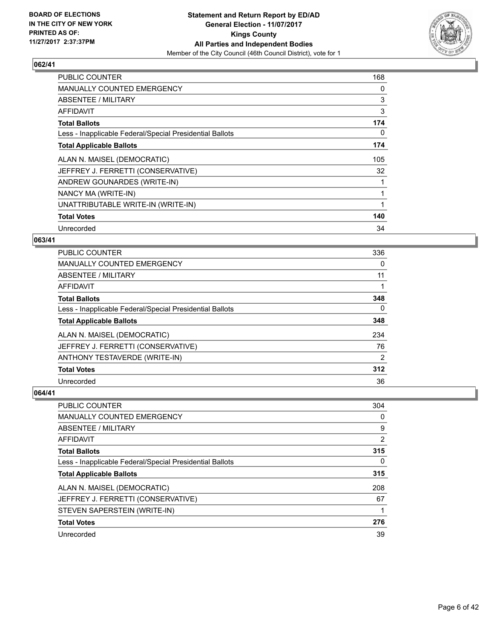

| <b>PUBLIC COUNTER</b>                                    | 168 |
|----------------------------------------------------------|-----|
| <b>MANUALLY COUNTED EMERGENCY</b>                        | 0   |
| ABSENTEE / MILITARY                                      | 3   |
| AFFIDAVIT                                                | 3   |
| <b>Total Ballots</b>                                     | 174 |
| Less - Inapplicable Federal/Special Presidential Ballots | 0   |
| <b>Total Applicable Ballots</b>                          | 174 |
| ALAN N. MAISEL (DEMOCRATIC)                              | 105 |
| JEFFREY J. FERRETTI (CONSERVATIVE)                       | 32  |
| ANDREW GOUNARDES (WRITE-IN)                              |     |
| NANCY MA (WRITE-IN)                                      |     |
| UNATTRIBUTABLE WRITE-IN (WRITE-IN)                       |     |
| <b>Total Votes</b>                                       | 140 |
| Unrecorded                                               | 34  |

# **063/41**

| <b>PUBLIC COUNTER</b>                                    | 336            |
|----------------------------------------------------------|----------------|
| <b>MANUALLY COUNTED EMERGENCY</b>                        | 0              |
| ABSENTEE / MILITARY                                      | 11             |
| AFFIDAVIT                                                |                |
| <b>Total Ballots</b>                                     | 348            |
| Less - Inapplicable Federal/Special Presidential Ballots | $\Omega$       |
| <b>Total Applicable Ballots</b>                          | 348            |
| ALAN N. MAISEL (DEMOCRATIC)                              | 234            |
| JEFFREY J. FERRETTI (CONSERVATIVE)                       | 76             |
| ANTHONY TESTAVERDE (WRITE-IN)                            | $\overline{2}$ |
| <b>Total Votes</b>                                       | 312            |
| Unrecorded                                               | 36             |

| <b>PUBLIC COUNTER</b>                                    | 304 |
|----------------------------------------------------------|-----|
| <b>MANUALLY COUNTED EMERGENCY</b>                        | 0   |
| ABSENTEE / MILITARY                                      | 9   |
| AFFIDAVIT                                                | 2   |
| <b>Total Ballots</b>                                     | 315 |
| Less - Inapplicable Federal/Special Presidential Ballots | 0   |
| <b>Total Applicable Ballots</b>                          | 315 |
| ALAN N. MAISEL (DEMOCRATIC)                              | 208 |
| JEFFREY J. FERRETTI (CONSERVATIVE)                       | 67  |
| STEVEN SAPERSTEIN (WRITE-IN)                             |     |
| <b>Total Votes</b>                                       | 276 |
| Unrecorded                                               | 39  |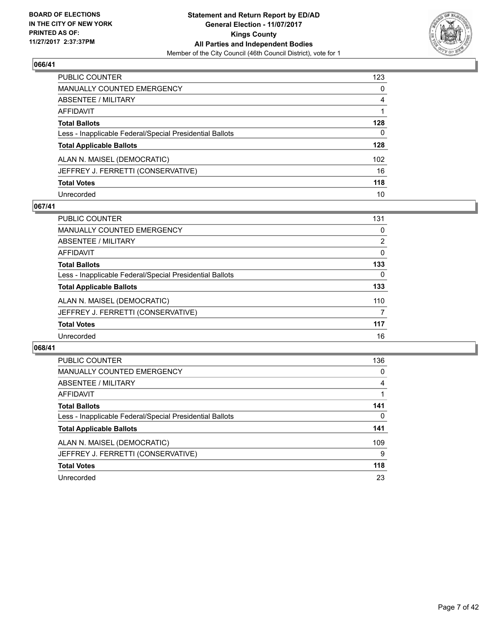

| PUBLIC COUNTER                                           | 123          |
|----------------------------------------------------------|--------------|
| <b>MANUALLY COUNTED EMERGENCY</b>                        | 0            |
| <b>ABSENTEE / MILITARY</b>                               | 4            |
| <b>AFFIDAVIT</b>                                         |              |
| <b>Total Ballots</b>                                     | 128          |
| Less - Inapplicable Federal/Special Presidential Ballots | $\mathbf{0}$ |
| <b>Total Applicable Ballots</b>                          | 128          |
| ALAN N. MAISEL (DEMOCRATIC)                              | 102          |
| JEFFREY J. FERRETTI (CONSERVATIVE)                       | 16           |
| <b>Total Votes</b>                                       | 118          |
| Unrecorded                                               | 10           |

# **067/41**

| <b>PUBLIC COUNTER</b>                                    | 131      |
|----------------------------------------------------------|----------|
| MANUALLY COUNTED EMERGENCY                               | 0        |
| ABSENTEE / MILITARY                                      | 2        |
| AFFIDAVIT                                                | $\Omega$ |
| <b>Total Ballots</b>                                     | 133      |
| Less - Inapplicable Federal/Special Presidential Ballots | 0        |
| <b>Total Applicable Ballots</b>                          | 133      |
| ALAN N. MAISEL (DEMOCRATIC)                              | 110      |
| JEFFREY J. FERRETTI (CONSERVATIVE)                       | 7        |
| <b>Total Votes</b>                                       | 117      |
| Unrecorded                                               | 16       |

| <b>PUBLIC COUNTER</b>                                    | 136 |
|----------------------------------------------------------|-----|
| <b>MANUALLY COUNTED EMERGENCY</b>                        | 0   |
| ABSENTEE / MILITARY                                      | 4   |
| <b>AFFIDAVIT</b>                                         |     |
| <b>Total Ballots</b>                                     | 141 |
| Less - Inapplicable Federal/Special Presidential Ballots | 0   |
| <b>Total Applicable Ballots</b>                          | 141 |
| ALAN N. MAISEL (DEMOCRATIC)                              | 109 |
| JEFFREY J. FERRETTI (CONSERVATIVE)                       | 9   |
| <b>Total Votes</b>                                       | 118 |
| Unrecorded                                               | 23  |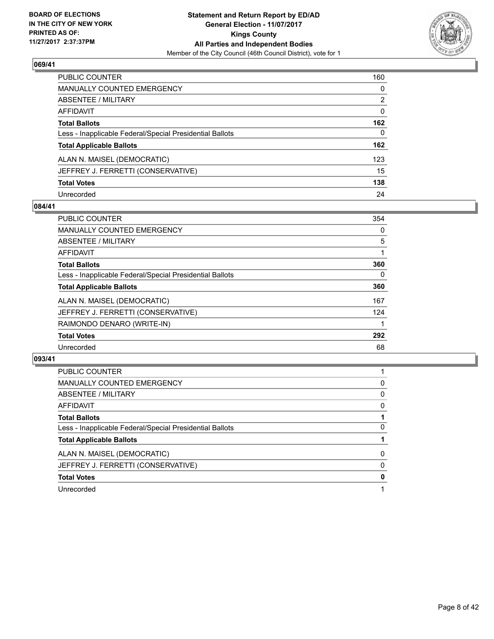

| <b>PUBLIC COUNTER</b>                                    | 160          |
|----------------------------------------------------------|--------------|
| MANUALLY COUNTED EMERGENCY                               | 0            |
| <b>ABSENTEE / MILITARY</b>                               | 2            |
| <b>AFFIDAVIT</b>                                         | 0            |
| <b>Total Ballots</b>                                     | 162          |
| Less - Inapplicable Federal/Special Presidential Ballots | $\mathbf{0}$ |
| <b>Total Applicable Ballots</b>                          | 162          |
| ALAN N. MAISEL (DEMOCRATIC)                              | 123          |
| JEFFREY J. FERRETTI (CONSERVATIVE)                       | 15           |
| <b>Total Votes</b>                                       | 138          |
| Unrecorded                                               | 24           |

# **084/41**

| <b>PUBLIC COUNTER</b>                                    | 354 |
|----------------------------------------------------------|-----|
| <b>MANUALLY COUNTED EMERGENCY</b>                        | 0   |
| ABSENTEE / MILITARY                                      | 5   |
| <b>AFFIDAVIT</b>                                         |     |
| <b>Total Ballots</b>                                     | 360 |
| Less - Inapplicable Federal/Special Presidential Ballots | 0   |
| <b>Total Applicable Ballots</b>                          | 360 |
| ALAN N. MAISEL (DEMOCRATIC)                              | 167 |
| JEFFREY J. FERRETTI (CONSERVATIVE)                       | 124 |
| RAIMONDO DENARO (WRITE-IN)                               |     |
| <b>Total Votes</b>                                       | 292 |
| Unrecorded                                               | 68  |

| <b>PUBLIC COUNTER</b>                                    |   |
|----------------------------------------------------------|---|
| <b>MANUALLY COUNTED EMERGENCY</b>                        | 0 |
| ABSENTEE / MILITARY                                      | 0 |
| AFFIDAVIT                                                | 0 |
| <b>Total Ballots</b>                                     |   |
| Less - Inapplicable Federal/Special Presidential Ballots | 0 |
| <b>Total Applicable Ballots</b>                          |   |
| ALAN N. MAISEL (DEMOCRATIC)                              | 0 |
| JEFFREY J. FERRETTI (CONSERVATIVE)                       | 0 |
| <b>Total Votes</b>                                       | 0 |
| Unrecorded                                               |   |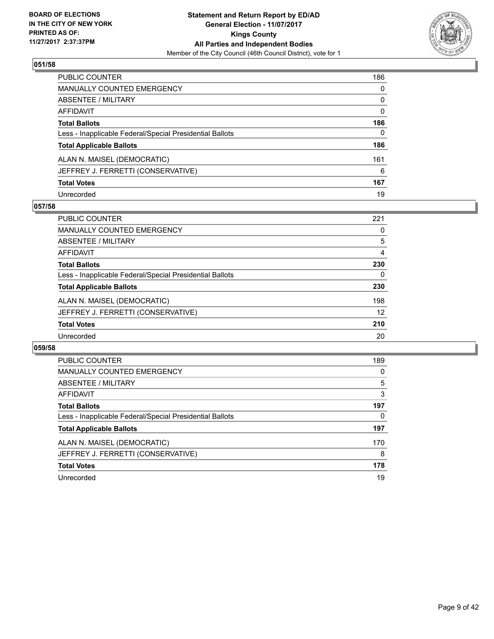

| <b>PUBLIC COUNTER</b>                                    | 186 |
|----------------------------------------------------------|-----|
| <b>MANUALLY COUNTED EMERGENCY</b>                        | 0   |
| ABSENTEE / MILITARY                                      | 0   |
| <b>AFFIDAVIT</b>                                         | 0   |
| <b>Total Ballots</b>                                     | 186 |
| Less - Inapplicable Federal/Special Presidential Ballots | 0   |
| <b>Total Applicable Ballots</b>                          | 186 |
| ALAN N. MAISEL (DEMOCRATIC)                              | 161 |
| JEFFREY J. FERRETTI (CONSERVATIVE)                       | 6   |
| <b>Total Votes</b>                                       | 167 |
| Unrecorded                                               | 19  |

# **057/58**

| <b>PUBLIC COUNTER</b>                                    | 221 |
|----------------------------------------------------------|-----|
| MANUALLY COUNTED EMERGENCY                               | 0   |
| ABSENTEE / MILITARY                                      | 5   |
| AFFIDAVIT                                                | 4   |
| <b>Total Ballots</b>                                     | 230 |
| Less - Inapplicable Federal/Special Presidential Ballots | 0   |
| <b>Total Applicable Ballots</b>                          | 230 |
| ALAN N. MAISEL (DEMOCRATIC)                              | 198 |
| JEFFREY J. FERRETTI (CONSERVATIVE)                       | 12  |
| <b>Total Votes</b>                                       | 210 |
| Unrecorded                                               | 20  |

| PUBLIC COUNTER                                           | 189 |
|----------------------------------------------------------|-----|
| <b>MANUALLY COUNTED EMERGENCY</b>                        | 0   |
| ABSENTEE / MILITARY                                      | 5   |
| <b>AFFIDAVIT</b>                                         | 3   |
| <b>Total Ballots</b>                                     | 197 |
| Less - Inapplicable Federal/Special Presidential Ballots | 0   |
| <b>Total Applicable Ballots</b>                          | 197 |
| ALAN N. MAISEL (DEMOCRATIC)                              | 170 |
| JEFFREY J. FERRETTI (CONSERVATIVE)                       | 8   |
| <b>Total Votes</b>                                       | 178 |
| Unrecorded                                               | 19  |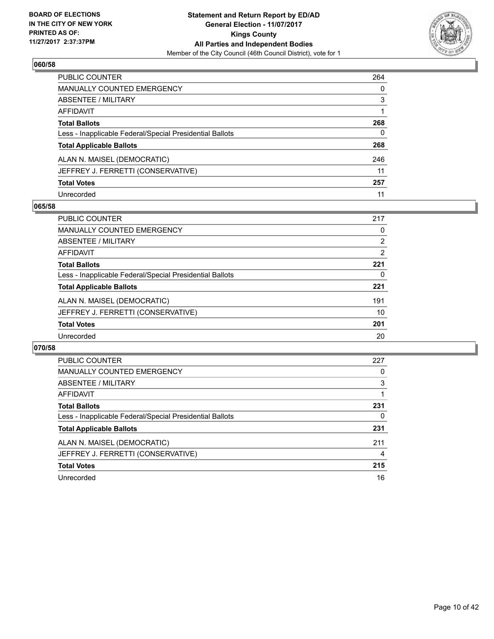

| <b>PUBLIC COUNTER</b>                                    | 264 |
|----------------------------------------------------------|-----|
| <b>MANUALLY COUNTED EMERGENCY</b>                        | 0   |
| ABSENTEE / MILITARY                                      | 3   |
| AFFIDAVIT                                                |     |
| <b>Total Ballots</b>                                     | 268 |
| Less - Inapplicable Federal/Special Presidential Ballots | 0   |
| <b>Total Applicable Ballots</b>                          | 268 |
| ALAN N. MAISEL (DEMOCRATIC)                              | 246 |
| JEFFREY J. FERRETTI (CONSERVATIVE)                       | 11  |
| <b>Total Votes</b>                                       | 257 |
| Unrecorded                                               | 11  |

## **065/58**

| <b>PUBLIC COUNTER</b>                                    | 217 |
|----------------------------------------------------------|-----|
| <b>MANUALLY COUNTED EMERGENCY</b>                        | 0   |
| ABSENTEE / MILITARY                                      | 2   |
| AFFIDAVIT                                                | 2   |
| <b>Total Ballots</b>                                     | 221 |
| Less - Inapplicable Federal/Special Presidential Ballots | 0   |
| <b>Total Applicable Ballots</b>                          | 221 |
| ALAN N. MAISEL (DEMOCRATIC)                              | 191 |
| JEFFREY J. FERRETTI (CONSERVATIVE)                       | 10  |
| <b>Total Votes</b>                                       | 201 |
| Unrecorded                                               | 20  |

| <b>PUBLIC COUNTER</b>                                    | 227 |
|----------------------------------------------------------|-----|
| MANUALLY COUNTED EMERGENCY                               | 0   |
| ABSENTEE / MILITARY                                      | 3   |
| AFFIDAVIT                                                |     |
| <b>Total Ballots</b>                                     | 231 |
| Less - Inapplicable Federal/Special Presidential Ballots | 0   |
| <b>Total Applicable Ballots</b>                          | 231 |
| ALAN N. MAISEL (DEMOCRATIC)                              | 211 |
| JEFFREY J. FERRETTI (CONSERVATIVE)                       | 4   |
| <b>Total Votes</b>                                       | 215 |
| Unrecorded                                               | 16  |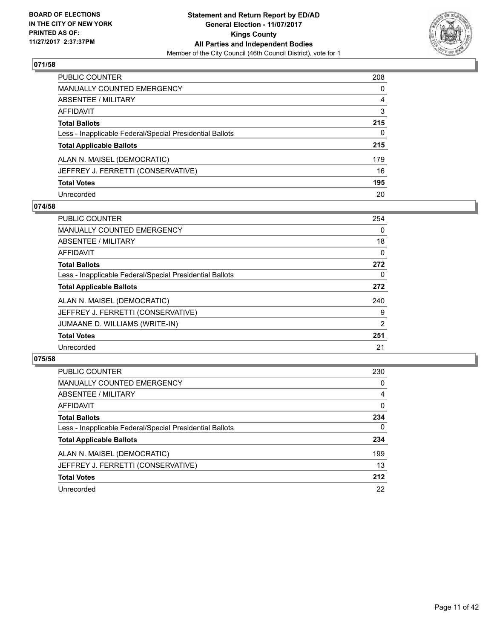

| <b>PUBLIC COUNTER</b>                                    | 208 |
|----------------------------------------------------------|-----|
| <b>MANUALLY COUNTED EMERGENCY</b>                        | 0   |
| <b>ABSENTEE / MILITARY</b>                               | 4   |
| <b>AFFIDAVIT</b>                                         | 3   |
| <b>Total Ballots</b>                                     | 215 |
| Less - Inapplicable Federal/Special Presidential Ballots | 0   |
| <b>Total Applicable Ballots</b>                          | 215 |
| ALAN N. MAISEL (DEMOCRATIC)                              | 179 |
| JEFFREY J. FERRETTI (CONSERVATIVE)                       | 16  |
| <b>Total Votes</b>                                       | 195 |
| Unrecorded                                               | 20  |

# **074/58**

| <b>PUBLIC COUNTER</b>                                    | 254 |
|----------------------------------------------------------|-----|
| <b>MANUALLY COUNTED EMERGENCY</b>                        | 0   |
| ABSENTEE / MILITARY                                      | 18  |
| <b>AFFIDAVIT</b>                                         | 0   |
| <b>Total Ballots</b>                                     | 272 |
| Less - Inapplicable Federal/Special Presidential Ballots | 0   |
| <b>Total Applicable Ballots</b>                          | 272 |
| ALAN N. MAISEL (DEMOCRATIC)                              | 240 |
| JEFFREY J. FERRETTI (CONSERVATIVE)                       | 9   |
| JUMAANE D. WILLIAMS (WRITE-IN)                           | 2   |
| <b>Total Votes</b>                                       | 251 |
| Unrecorded                                               | 21  |

| <b>PUBLIC COUNTER</b>                                    | 230      |
|----------------------------------------------------------|----------|
| <b>MANUALLY COUNTED EMERGENCY</b>                        | 0        |
| ABSENTEE / MILITARY                                      | 4        |
| AFFIDAVIT                                                | 0        |
| <b>Total Ballots</b>                                     | 234      |
| Less - Inapplicable Federal/Special Presidential Ballots | $\Omega$ |
| <b>Total Applicable Ballots</b>                          | 234      |
| ALAN N. MAISEL (DEMOCRATIC)                              | 199      |
| JEFFREY J. FERRETTI (CONSERVATIVE)                       | 13       |
| <b>Total Votes</b>                                       | 212      |
| Unrecorded                                               | 22       |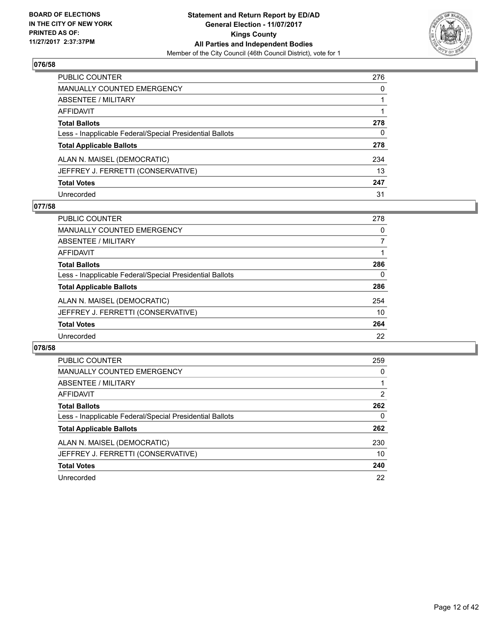

| PUBLIC COUNTER                                           | 276 |
|----------------------------------------------------------|-----|
| <b>MANUALLY COUNTED EMERGENCY</b>                        | 0   |
| ABSENTEE / MILITARY                                      | 1   |
| <b>AFFIDAVIT</b>                                         |     |
| <b>Total Ballots</b>                                     | 278 |
| Less - Inapplicable Federal/Special Presidential Ballots | 0   |
| <b>Total Applicable Ballots</b>                          | 278 |
| ALAN N. MAISEL (DEMOCRATIC)                              | 234 |
| JEFFREY J. FERRETTI (CONSERVATIVE)                       | 13  |
| <b>Total Votes</b>                                       | 247 |
| Unrecorded                                               | 31  |

# **077/58**

| <b>PUBLIC COUNTER</b>                                    | 278 |
|----------------------------------------------------------|-----|
| MANUALLY COUNTED EMERGENCY                               | 0   |
| ABSENTEE / MILITARY                                      |     |
| AFFIDAVIT                                                |     |
| <b>Total Ballots</b>                                     | 286 |
| Less - Inapplicable Federal/Special Presidential Ballots | 0   |
| <b>Total Applicable Ballots</b>                          | 286 |
| ALAN N. MAISEL (DEMOCRATIC)                              | 254 |
| JEFFREY J. FERRETTI (CONSERVATIVE)                       | 10  |
| <b>Total Votes</b>                                       | 264 |
| Unrecorded                                               | 22  |

| <b>PUBLIC COUNTER</b>                                    | 259 |
|----------------------------------------------------------|-----|
| <b>MANUALLY COUNTED EMERGENCY</b>                        | 0   |
| ABSENTEE / MILITARY                                      |     |
| <b>AFFIDAVIT</b>                                         | 2   |
| <b>Total Ballots</b>                                     | 262 |
| Less - Inapplicable Federal/Special Presidential Ballots | 0   |
| <b>Total Applicable Ballots</b>                          | 262 |
| ALAN N. MAISEL (DEMOCRATIC)                              | 230 |
| JEFFREY J. FERRETTI (CONSERVATIVE)                       | 10  |
| <b>Total Votes</b>                                       | 240 |
| Unrecorded                                               | 22  |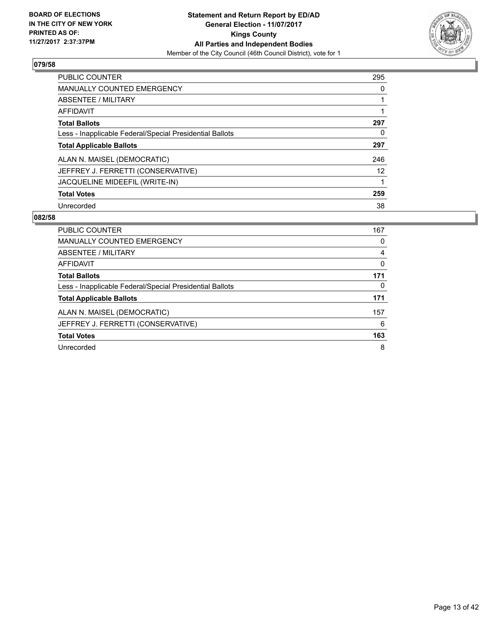

| <b>PUBLIC COUNTER</b>                                    | 295 |
|----------------------------------------------------------|-----|
| <b>MANUALLY COUNTED EMERGENCY</b>                        | 0   |
| ABSENTEE / MILITARY                                      |     |
| <b>AFFIDAVIT</b>                                         |     |
| <b>Total Ballots</b>                                     | 297 |
| Less - Inapplicable Federal/Special Presidential Ballots | 0   |
| <b>Total Applicable Ballots</b>                          | 297 |
| ALAN N. MAISEL (DEMOCRATIC)                              | 246 |
| JEFFREY J. FERRETTI (CONSERVATIVE)                       | 12  |
| JACQUELINE MIDEEFIL (WRITE-IN)                           |     |
| <b>Total Votes</b>                                       | 259 |
| Unrecorded                                               | 38  |

| PUBLIC COUNTER                                           | 167 |
|----------------------------------------------------------|-----|
| MANUALLY COUNTED EMERGENCY                               | 0   |
| ABSENTEE / MILITARY                                      | 4   |
| AFFIDAVIT                                                | 0   |
| <b>Total Ballots</b>                                     | 171 |
| Less - Inapplicable Federal/Special Presidential Ballots | 0   |
| <b>Total Applicable Ballots</b>                          | 171 |
| ALAN N. MAISEL (DEMOCRATIC)                              | 157 |
| JEFFREY J. FERRETTI (CONSERVATIVE)                       | 6   |
| <b>Total Votes</b>                                       | 163 |
| Unrecorded                                               | 8   |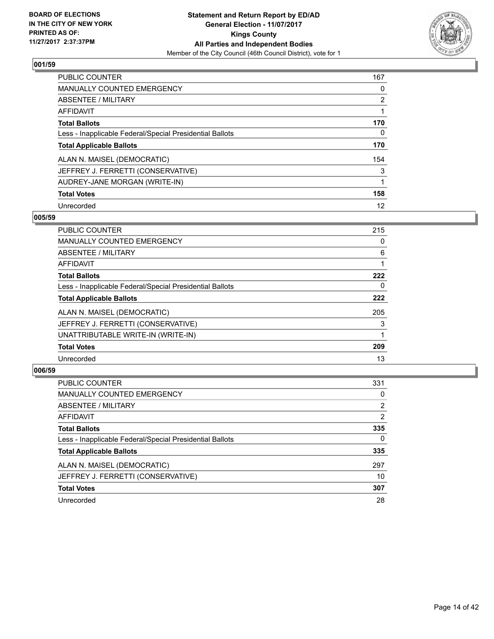

| <b>PUBLIC COUNTER</b>                                    | 167 |
|----------------------------------------------------------|-----|
| <b>MANUALLY COUNTED EMERGENCY</b>                        | 0   |
| ABSENTEE / MILITARY                                      | 2   |
| <b>AFFIDAVIT</b>                                         |     |
| <b>Total Ballots</b>                                     | 170 |
| Less - Inapplicable Federal/Special Presidential Ballots | 0   |
| <b>Total Applicable Ballots</b>                          | 170 |
| ALAN N. MAISEL (DEMOCRATIC)                              | 154 |
| JEFFREY J. FERRETTI (CONSERVATIVE)                       | 3   |
| AUDREY-JANE MORGAN (WRITE-IN)                            | 1   |
| <b>Total Votes</b>                                       | 158 |
| Unrecorded                                               | 12  |

## **005/59**

| <b>PUBLIC COUNTER</b>                                    | 215 |
|----------------------------------------------------------|-----|
| <b>MANUALLY COUNTED EMERGENCY</b>                        | 0   |
| ABSENTEE / MILITARY                                      | 6   |
| <b>AFFIDAVIT</b>                                         |     |
| <b>Total Ballots</b>                                     | 222 |
| Less - Inapplicable Federal/Special Presidential Ballots | 0   |
| <b>Total Applicable Ballots</b>                          | 222 |
| ALAN N. MAISEL (DEMOCRATIC)                              | 205 |
| JEFFREY J. FERRETTI (CONSERVATIVE)                       | 3   |
| UNATTRIBUTABLE WRITE-IN (WRITE-IN)                       |     |
| <b>Total Votes</b>                                       | 209 |
| Unrecorded                                               | 13  |

| <b>PUBLIC COUNTER</b>                                    | 331            |
|----------------------------------------------------------|----------------|
| MANUALLY COUNTED EMERGENCY                               | 0              |
| ABSENTEE / MILITARY                                      | $\overline{2}$ |
| AFFIDAVIT                                                | 2              |
| <b>Total Ballots</b>                                     | 335            |
| Less - Inapplicable Federal/Special Presidential Ballots | $\Omega$       |
| <b>Total Applicable Ballots</b>                          | 335            |
| ALAN N. MAISEL (DEMOCRATIC)                              | 297            |
| JEFFREY J. FERRETTI (CONSERVATIVE)                       | 10             |
| <b>Total Votes</b>                                       | 307            |
| Unrecorded                                               | 28             |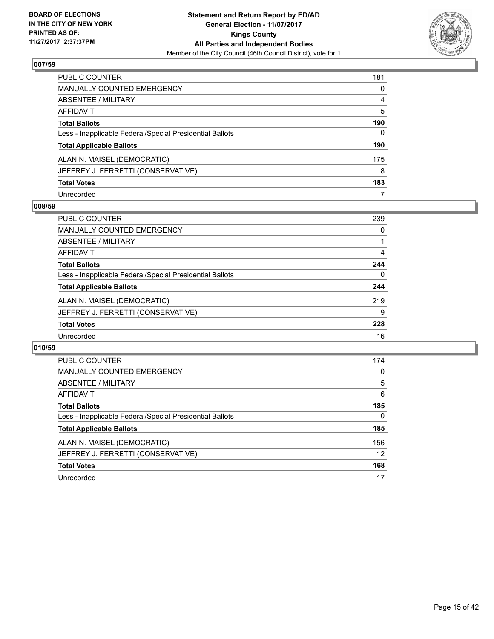

| <b>PUBLIC COUNTER</b>                                    | 181 |
|----------------------------------------------------------|-----|
| <b>MANUALLY COUNTED EMERGENCY</b>                        | 0   |
| ABSENTEE / MILITARY                                      | 4   |
| <b>AFFIDAVIT</b>                                         | 5   |
| <b>Total Ballots</b>                                     | 190 |
| Less - Inapplicable Federal/Special Presidential Ballots | 0   |
| <b>Total Applicable Ballots</b>                          | 190 |
| ALAN N. MAISEL (DEMOCRATIC)                              | 175 |
| JEFFREY J. FERRETTI (CONSERVATIVE)                       | 8   |
| <b>Total Votes</b>                                       | 183 |
| Unrecorded                                               | 7   |

# **008/59**

| <b>PUBLIC COUNTER</b>                                    | 239 |
|----------------------------------------------------------|-----|
| MANUALLY COUNTED EMERGENCY                               | 0   |
| ABSENTEE / MILITARY                                      |     |
| AFFIDAVIT                                                | 4   |
| <b>Total Ballots</b>                                     | 244 |
| Less - Inapplicable Federal/Special Presidential Ballots | 0   |
| <b>Total Applicable Ballots</b>                          | 244 |
| ALAN N. MAISEL (DEMOCRATIC)                              | 219 |
| JEFFREY J. FERRETTI (CONSERVATIVE)                       | 9   |
| <b>Total Votes</b>                                       | 228 |
| Unrecorded                                               | 16  |

| PUBLIC COUNTER                                           | 174 |
|----------------------------------------------------------|-----|
| <b>MANUALLY COUNTED EMERGENCY</b>                        | 0   |
| ABSENTEE / MILITARY                                      | 5   |
| AFFIDAVIT                                                | 6   |
| <b>Total Ballots</b>                                     | 185 |
| Less - Inapplicable Federal/Special Presidential Ballots | 0   |
| <b>Total Applicable Ballots</b>                          | 185 |
| ALAN N. MAISEL (DEMOCRATIC)                              | 156 |
| JEFFREY J. FERRETTI (CONSERVATIVE)                       | 12  |
| <b>Total Votes</b>                                       | 168 |
| Unrecorded                                               | 17  |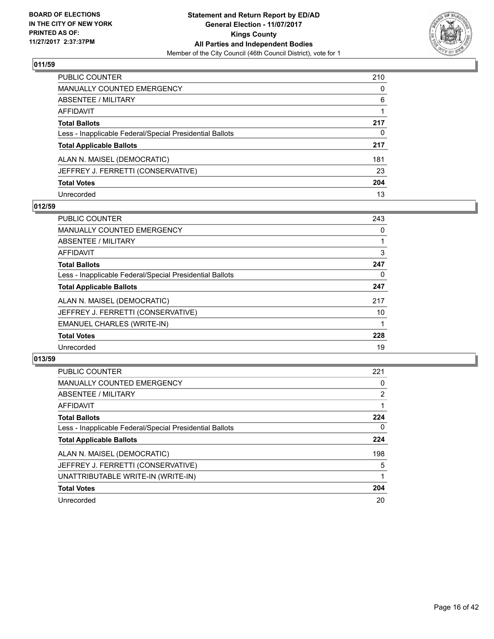

| <b>PUBLIC COUNTER</b>                                    | 210          |
|----------------------------------------------------------|--------------|
| <b>MANUALLY COUNTED EMERGENCY</b>                        | $\mathbf{0}$ |
| <b>ABSENTEE / MILITARY</b>                               | 6            |
| <b>AFFIDAVIT</b>                                         |              |
| <b>Total Ballots</b>                                     | 217          |
| Less - Inapplicable Federal/Special Presidential Ballots | $\Omega$     |
| <b>Total Applicable Ballots</b>                          | 217          |
| ALAN N. MAISEL (DEMOCRATIC)                              | 181          |
| JEFFREY J. FERRETTI (CONSERVATIVE)                       | 23           |
| <b>Total Votes</b>                                       | 204          |
| Unrecorded                                               | 13           |

# **012/59**

| <b>PUBLIC COUNTER</b>                                    | 243 |
|----------------------------------------------------------|-----|
| MANUALLY COUNTED EMERGENCY                               | 0   |
| ABSENTEE / MILITARY                                      |     |
| AFFIDAVIT                                                | 3   |
| <b>Total Ballots</b>                                     | 247 |
| Less - Inapplicable Federal/Special Presidential Ballots | 0   |
| <b>Total Applicable Ballots</b>                          | 247 |
| ALAN N. MAISEL (DEMOCRATIC)                              | 217 |
| JEFFREY J. FERRETTI (CONSERVATIVE)                       | 10  |
| <b>EMANUEL CHARLES (WRITE-IN)</b>                        |     |
| <b>Total Votes</b>                                       | 228 |
| Unrecorded                                               | 19  |

| <b>PUBLIC COUNTER</b>                                    | 221            |
|----------------------------------------------------------|----------------|
| <b>MANUALLY COUNTED EMERGENCY</b>                        | 0              |
| ABSENTEE / MILITARY                                      | $\overline{2}$ |
| AFFIDAVIT                                                |                |
| <b>Total Ballots</b>                                     | 224            |
| Less - Inapplicable Federal/Special Presidential Ballots | $\Omega$       |
| <b>Total Applicable Ballots</b>                          | 224            |
| ALAN N. MAISEL (DEMOCRATIC)                              | 198            |
| JEFFREY J. FERRETTI (CONSERVATIVE)                       | 5              |
| UNATTRIBUTABLE WRITE-IN (WRITE-IN)                       |                |
| <b>Total Votes</b>                                       | 204            |
| Unrecorded                                               | 20             |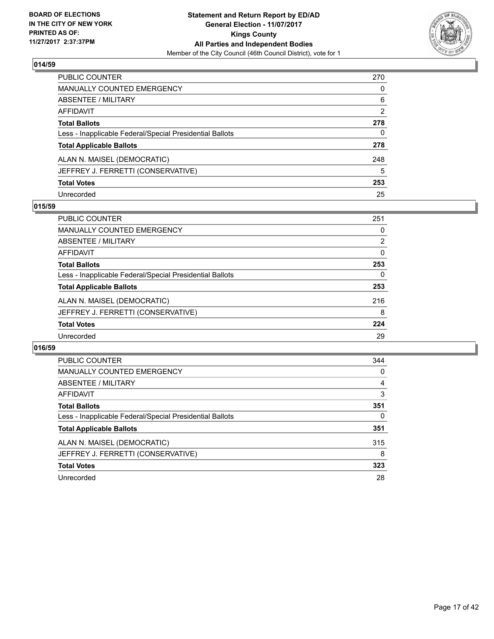

| <b>PUBLIC COUNTER</b>                                    | 270 |
|----------------------------------------------------------|-----|
| <b>MANUALLY COUNTED EMERGENCY</b>                        | 0   |
| ABSENTEE / MILITARY                                      | 6   |
| AFFIDAVIT                                                | 2   |
| <b>Total Ballots</b>                                     | 278 |
| Less - Inapplicable Federal/Special Presidential Ballots | 0   |
| <b>Total Applicable Ballots</b>                          | 278 |
| ALAN N. MAISEL (DEMOCRATIC)                              | 248 |
| JEFFREY J. FERRETTI (CONSERVATIVE)                       | 5   |
| <b>Total Votes</b>                                       | 253 |
| Unrecorded                                               | 25  |

# **015/59**

| <b>PUBLIC COUNTER</b>                                    | 251            |
|----------------------------------------------------------|----------------|
| MANUALLY COUNTED EMERGENCY                               | 0              |
| ABSENTEE / MILITARY                                      | $\overline{2}$ |
| AFFIDAVIT                                                | 0              |
| <b>Total Ballots</b>                                     | 253            |
| Less - Inapplicable Federal/Special Presidential Ballots | 0              |
| <b>Total Applicable Ballots</b>                          | 253            |
| ALAN N. MAISEL (DEMOCRATIC)                              | 216            |
| JEFFREY J. FERRETTI (CONSERVATIVE)                       | 8              |
| <b>Total Votes</b>                                       | 224            |
| Unrecorded                                               | 29             |

| <b>PUBLIC COUNTER</b>                                    | 344 |
|----------------------------------------------------------|-----|
| <b>MANUALLY COUNTED EMERGENCY</b>                        | 0   |
| ABSENTEE / MILITARY                                      | 4   |
| AFFIDAVIT                                                | 3   |
| <b>Total Ballots</b>                                     | 351 |
| Less - Inapplicable Federal/Special Presidential Ballots | 0   |
| <b>Total Applicable Ballots</b>                          | 351 |
| ALAN N. MAISEL (DEMOCRATIC)                              | 315 |
| JEFFREY J. FERRETTI (CONSERVATIVE)                       | 8   |
| <b>Total Votes</b>                                       | 323 |
| Unrecorded                                               | 28  |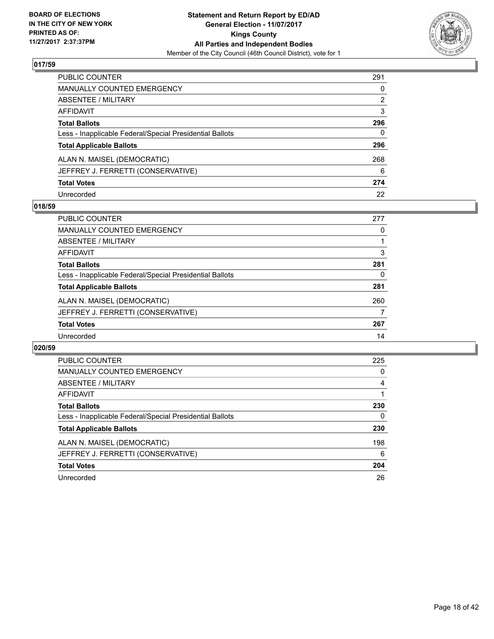

| PUBLIC COUNTER                                           | 291 |
|----------------------------------------------------------|-----|
| <b>MANUALLY COUNTED EMERGENCY</b>                        | 0   |
| <b>ABSENTEE / MILITARY</b>                               | 2   |
| AFFIDAVIT                                                | 3   |
| <b>Total Ballots</b>                                     | 296 |
| Less - Inapplicable Federal/Special Presidential Ballots | 0   |
| <b>Total Applicable Ballots</b>                          | 296 |
| ALAN N. MAISEL (DEMOCRATIC)                              | 268 |
| JEFFREY J. FERRETTI (CONSERVATIVE)                       | 6   |
| <b>Total Votes</b>                                       | 274 |
| Unrecorded                                               | 22  |

# **018/59**

| <b>PUBLIC COUNTER</b>                                    | 277 |
|----------------------------------------------------------|-----|
| MANUALLY COUNTED EMERGENCY                               | 0   |
| ABSENTEE / MILITARY                                      |     |
| AFFIDAVIT                                                | 3   |
| <b>Total Ballots</b>                                     | 281 |
| Less - Inapplicable Federal/Special Presidential Ballots | 0   |
| <b>Total Applicable Ballots</b>                          | 281 |
| ALAN N. MAISEL (DEMOCRATIC)                              | 260 |
| JEFFREY J. FERRETTI (CONSERVATIVE)                       |     |
| <b>Total Votes</b>                                       | 267 |
| Unrecorded                                               | 14  |

| <b>PUBLIC COUNTER</b>                                    | 225 |
|----------------------------------------------------------|-----|
| <b>MANUALLY COUNTED EMERGENCY</b>                        | 0   |
| ABSENTEE / MILITARY                                      | 4   |
| AFFIDAVIT                                                |     |
| <b>Total Ballots</b>                                     | 230 |
| Less - Inapplicable Federal/Special Presidential Ballots | 0   |
| <b>Total Applicable Ballots</b>                          | 230 |
| ALAN N. MAISEL (DEMOCRATIC)                              | 198 |
| JEFFREY J. FERRETTI (CONSERVATIVE)                       | 6   |
| <b>Total Votes</b>                                       | 204 |
| Unrecorded                                               | 26  |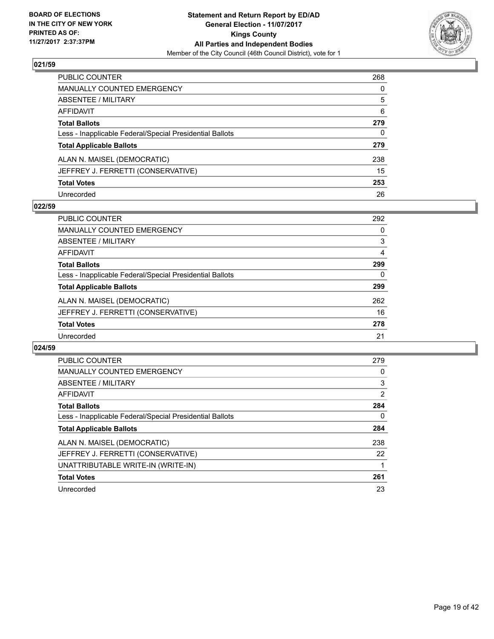

| <b>PUBLIC COUNTER</b>                                    | 268 |
|----------------------------------------------------------|-----|
| <b>MANUALLY COUNTED EMERGENCY</b>                        | 0   |
| ABSENTEE / MILITARY                                      | 5   |
| AFFIDAVIT                                                | 6   |
| <b>Total Ballots</b>                                     | 279 |
| Less - Inapplicable Federal/Special Presidential Ballots | 0   |
| <b>Total Applicable Ballots</b>                          | 279 |
| ALAN N. MAISEL (DEMOCRATIC)                              | 238 |
| JEFFREY J. FERRETTI (CONSERVATIVE)                       | 15  |
| <b>Total Votes</b>                                       | 253 |
| Unrecorded                                               | 26  |

## **022/59**

| <b>PUBLIC COUNTER</b>                                    | 292 |
|----------------------------------------------------------|-----|
| <b>MANUALLY COUNTED EMERGENCY</b>                        | 0   |
| ABSENTEE / MILITARY                                      | 3   |
| AFFIDAVIT                                                | 4   |
| <b>Total Ballots</b>                                     | 299 |
| Less - Inapplicable Federal/Special Presidential Ballots | 0   |
| <b>Total Applicable Ballots</b>                          | 299 |
| ALAN N. MAISEL (DEMOCRATIC)                              | 262 |
| JEFFREY J. FERRETTI (CONSERVATIVE)                       | 16  |
| <b>Total Votes</b>                                       | 278 |
| Unrecorded                                               | 21  |

| <b>PUBLIC COUNTER</b>                                    | 279 |
|----------------------------------------------------------|-----|
| <b>MANUALLY COUNTED EMERGENCY</b>                        | 0   |
| ABSENTEE / MILITARY                                      | 3   |
| AFFIDAVIT                                                | 2   |
| <b>Total Ballots</b>                                     | 284 |
| Less - Inapplicable Federal/Special Presidential Ballots | 0   |
| <b>Total Applicable Ballots</b>                          | 284 |
| ALAN N. MAISEL (DEMOCRATIC)                              | 238 |
| JEFFREY J. FERRETTI (CONSERVATIVE)                       | 22  |
| UNATTRIBUTABLE WRITE-IN (WRITE-IN)                       |     |
| <b>Total Votes</b>                                       | 261 |
| Unrecorded                                               | 23  |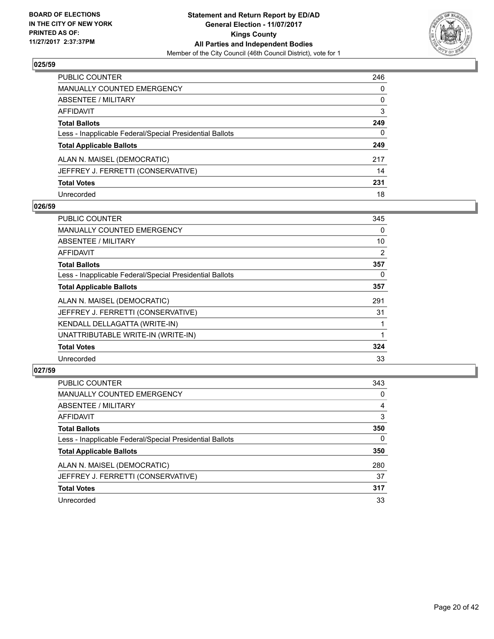

| PUBLIC COUNTER                                           | 246 |
|----------------------------------------------------------|-----|
| <b>MANUALLY COUNTED EMERGENCY</b>                        | 0   |
| ABSENTEE / MILITARY                                      | 0   |
| <b>AFFIDAVIT</b>                                         | 3   |
| <b>Total Ballots</b>                                     | 249 |
| Less - Inapplicable Federal/Special Presidential Ballots | 0   |
| <b>Total Applicable Ballots</b>                          | 249 |
| ALAN N. MAISEL (DEMOCRATIC)                              | 217 |
| JEFFREY J. FERRETTI (CONSERVATIVE)                       | 14  |
| <b>Total Votes</b>                                       | 231 |
| Unrecorded                                               | 18  |

## **026/59**

| PUBLIC COUNTER                                           | 345 |
|----------------------------------------------------------|-----|
| <b>MANUALLY COUNTED EMERGENCY</b>                        | 0   |
| ABSENTEE / MILITARY                                      | 10  |
| AFFIDAVIT                                                | 2   |
| <b>Total Ballots</b>                                     | 357 |
| Less - Inapplicable Federal/Special Presidential Ballots | 0   |
| <b>Total Applicable Ballots</b>                          | 357 |
| ALAN N. MAISEL (DEMOCRATIC)                              | 291 |
| JEFFREY J. FERRETTI (CONSERVATIVE)                       | 31  |
| KENDALL DELLAGATTA (WRITE-IN)                            |     |
| UNATTRIBUTABLE WRITE-IN (WRITE-IN)                       |     |
| <b>Total Votes</b>                                       | 324 |
| Unrecorded                                               | 33  |

| <b>PUBLIC COUNTER</b>                                    | 343 |
|----------------------------------------------------------|-----|
| MANUALLY COUNTED EMERGENCY                               | 0   |
| ABSENTEE / MILITARY                                      | 4   |
| AFFIDAVIT                                                | 3   |
| <b>Total Ballots</b>                                     | 350 |
| Less - Inapplicable Federal/Special Presidential Ballots | 0   |
| <b>Total Applicable Ballots</b>                          | 350 |
| ALAN N. MAISEL (DEMOCRATIC)                              | 280 |
| JEFFREY J. FERRETTI (CONSERVATIVE)                       | 37  |
| <b>Total Votes</b>                                       | 317 |
| Unrecorded                                               | 33  |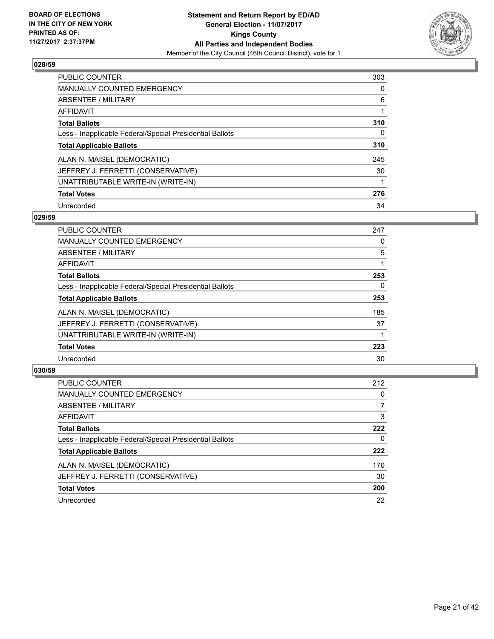

| <b>PUBLIC COUNTER</b>                                    | 303 |
|----------------------------------------------------------|-----|
| MANUALLY COUNTED EMERGENCY                               | 0   |
| ABSENTEE / MILITARY                                      | 6   |
| AFFIDAVIT                                                |     |
| <b>Total Ballots</b>                                     | 310 |
| Less - Inapplicable Federal/Special Presidential Ballots | 0   |
| <b>Total Applicable Ballots</b>                          | 310 |
| ALAN N. MAISEL (DEMOCRATIC)                              | 245 |
| JEFFREY J. FERRETTI (CONSERVATIVE)                       | 30  |
| UNATTRIBUTABLE WRITE-IN (WRITE-IN)                       | 1   |
| <b>Total Votes</b>                                       | 276 |
| Unrecorded                                               | 34  |

## **029/59**

| <b>PUBLIC COUNTER</b>                                    | 247 |
|----------------------------------------------------------|-----|
| <b>MANUALLY COUNTED EMERGENCY</b>                        | 0   |
| ABSENTEE / MILITARY                                      | 5   |
| AFFIDAVIT                                                |     |
| <b>Total Ballots</b>                                     | 253 |
| Less - Inapplicable Federal/Special Presidential Ballots | 0   |
| <b>Total Applicable Ballots</b>                          | 253 |
| ALAN N. MAISEL (DEMOCRATIC)                              | 185 |
| JEFFREY J. FERRETTI (CONSERVATIVE)                       | 37  |
| UNATTRIBUTABLE WRITE-IN (WRITE-IN)                       |     |
| <b>Total Votes</b>                                       | 223 |
| Unrecorded                                               | 30  |

| <b>PUBLIC COUNTER</b>                                    | 212 |
|----------------------------------------------------------|-----|
| <b>MANUALLY COUNTED EMERGENCY</b>                        | 0   |
| ABSENTEE / MILITARY                                      |     |
| AFFIDAVIT                                                | 3   |
| <b>Total Ballots</b>                                     | 222 |
| Less - Inapplicable Federal/Special Presidential Ballots | 0   |
| <b>Total Applicable Ballots</b>                          | 222 |
| ALAN N. MAISEL (DEMOCRATIC)                              | 170 |
| JEFFREY J. FERRETTI (CONSERVATIVE)                       | 30  |
| <b>Total Votes</b>                                       | 200 |
| Unrecorded                                               | 22  |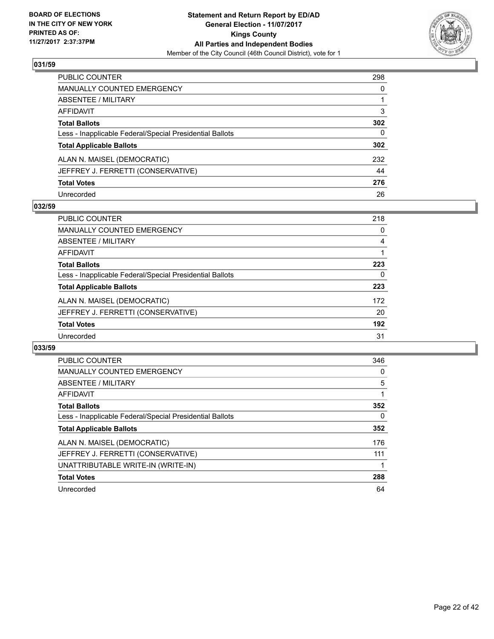

| PUBLIC COUNTER                                           | 298 |
|----------------------------------------------------------|-----|
| <b>MANUALLY COUNTED EMERGENCY</b>                        | 0   |
| <b>ABSENTEE / MILITARY</b>                               |     |
| AFFIDAVIT                                                | 3   |
| <b>Total Ballots</b>                                     | 302 |
| Less - Inapplicable Federal/Special Presidential Ballots | 0   |
| <b>Total Applicable Ballots</b>                          | 302 |
| ALAN N. MAISEL (DEMOCRATIC)                              | 232 |
| JEFFREY J. FERRETTI (CONSERVATIVE)                       | 44  |
| <b>Total Votes</b>                                       | 276 |
| Unrecorded                                               | 26  |

# **032/59**

| <b>PUBLIC COUNTER</b>                                    | 218 |
|----------------------------------------------------------|-----|
| MANUALLY COUNTED EMERGENCY                               | 0   |
| ABSENTEE / MILITARY                                      | 4   |
| AFFIDAVIT                                                |     |
| <b>Total Ballots</b>                                     | 223 |
| Less - Inapplicable Federal/Special Presidential Ballots | 0   |
| <b>Total Applicable Ballots</b>                          | 223 |
| ALAN N. MAISEL (DEMOCRATIC)                              | 172 |
| JEFFREY J. FERRETTI (CONSERVATIVE)                       | 20  |
| <b>Total Votes</b>                                       | 192 |
| Unrecorded                                               | 31  |

| <b>PUBLIC COUNTER</b>                                    | 346 |
|----------------------------------------------------------|-----|
| <b>MANUALLY COUNTED EMERGENCY</b>                        | 0   |
| ABSENTEE / MILITARY                                      | 5   |
| <b>AFFIDAVIT</b>                                         |     |
| <b>Total Ballots</b>                                     | 352 |
| Less - Inapplicable Federal/Special Presidential Ballots | 0   |
| <b>Total Applicable Ballots</b>                          | 352 |
| ALAN N. MAISEL (DEMOCRATIC)                              | 176 |
| JEFFREY J. FERRETTI (CONSERVATIVE)                       | 111 |
| UNATTRIBUTABLE WRITE-IN (WRITE-IN)                       |     |
| <b>Total Votes</b>                                       | 288 |
| Unrecorded                                               | 64  |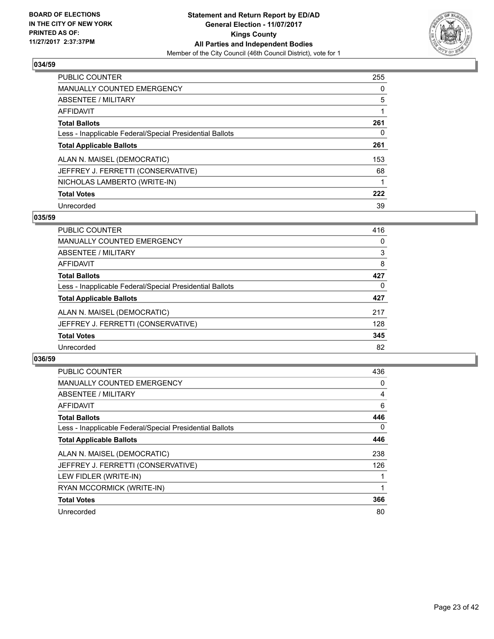

| <b>PUBLIC COUNTER</b>                                    | 255 |
|----------------------------------------------------------|-----|
| MANUALLY COUNTED EMERGENCY                               | 0   |
| ABSENTEE / MILITARY                                      | 5   |
| <b>AFFIDAVIT</b>                                         |     |
| <b>Total Ballots</b>                                     | 261 |
| Less - Inapplicable Federal/Special Presidential Ballots | 0   |
| <b>Total Applicable Ballots</b>                          | 261 |
| ALAN N. MAISEL (DEMOCRATIC)                              | 153 |
| JEFFREY J. FERRETTI (CONSERVATIVE)                       | 68  |
| NICHOLAS LAMBERTO (WRITE-IN)                             |     |
| <b>Total Votes</b>                                       | 222 |
| Unrecorded                                               | 39  |

## **035/59**

| <b>PUBLIC COUNTER</b>                                    | 416 |
|----------------------------------------------------------|-----|
| MANUALLY COUNTED EMERGENCY                               | 0   |
| ABSENTEE / MILITARY                                      | 3   |
| <b>AFFIDAVIT</b>                                         | 8   |
| <b>Total Ballots</b>                                     | 427 |
| Less - Inapplicable Federal/Special Presidential Ballots | 0   |
| <b>Total Applicable Ballots</b>                          | 427 |
| ALAN N. MAISEL (DEMOCRATIC)                              | 217 |
| JEFFREY J. FERRETTI (CONSERVATIVE)                       | 128 |
| <b>Total Votes</b>                                       | 345 |
| Unrecorded                                               | 82  |

| <b>PUBLIC COUNTER</b>                                    | 436 |
|----------------------------------------------------------|-----|
| <b>MANUALLY COUNTED EMERGENCY</b>                        | 0   |
| ABSENTEE / MILITARY                                      | 4   |
| AFFIDAVIT                                                | 6   |
| <b>Total Ballots</b>                                     | 446 |
| Less - Inapplicable Federal/Special Presidential Ballots | 0   |
| <b>Total Applicable Ballots</b>                          | 446 |
| ALAN N. MAISEL (DEMOCRATIC)                              | 238 |
| JEFFREY J. FERRETTI (CONSERVATIVE)                       | 126 |
| LEW FIDLER (WRITE-IN)                                    |     |
| RYAN MCCORMICK (WRITE-IN)                                |     |
| <b>Total Votes</b>                                       | 366 |
| Unrecorded                                               | 80  |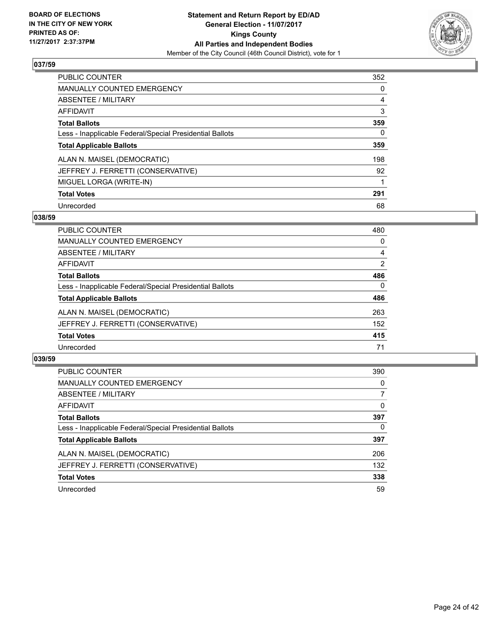

| <b>PUBLIC COUNTER</b>                                    | 352 |
|----------------------------------------------------------|-----|
| <b>MANUALLY COUNTED EMERGENCY</b>                        | 0   |
| ABSENTEE / MILITARY                                      | 4   |
| AFFIDAVIT                                                | 3   |
| <b>Total Ballots</b>                                     | 359 |
| Less - Inapplicable Federal/Special Presidential Ballots | 0   |
| <b>Total Applicable Ballots</b>                          | 359 |
| ALAN N. MAISEL (DEMOCRATIC)                              | 198 |
| JEFFREY J. FERRETTI (CONSERVATIVE)                       | 92  |
| MIGUEL LORGA (WRITE-IN)                                  |     |
| <b>Total Votes</b>                                       | 291 |
| Unrecorded                                               | 68  |

## **038/59**

| <b>PUBLIC COUNTER</b>                                    | 480      |
|----------------------------------------------------------|----------|
| <b>MANUALLY COUNTED EMERGENCY</b>                        | 0        |
| ABSENTEE / MILITARY                                      | 4        |
| AFFIDAVIT                                                | 2        |
| <b>Total Ballots</b>                                     | 486      |
| Less - Inapplicable Federal/Special Presidential Ballots | $\Omega$ |
| <b>Total Applicable Ballots</b>                          | 486      |
| ALAN N. MAISEL (DEMOCRATIC)                              | 263      |
| JEFFREY J. FERRETTI (CONSERVATIVE)                       | 152      |
| <b>Total Votes</b>                                       | 415      |
| Unrecorded                                               | 71       |

| <b>PUBLIC COUNTER</b>                                    | 390 |
|----------------------------------------------------------|-----|
| MANUALLY COUNTED EMERGENCY                               | 0   |
| ABSENTEE / MILITARY                                      | 7   |
| AFFIDAVIT                                                | 0   |
| <b>Total Ballots</b>                                     | 397 |
| Less - Inapplicable Federal/Special Presidential Ballots | 0   |
| <b>Total Applicable Ballots</b>                          | 397 |
| ALAN N. MAISEL (DEMOCRATIC)                              | 206 |
| JEFFREY J. FERRETTI (CONSERVATIVE)                       | 132 |
| <b>Total Votes</b>                                       | 338 |
| Unrecorded                                               | 59  |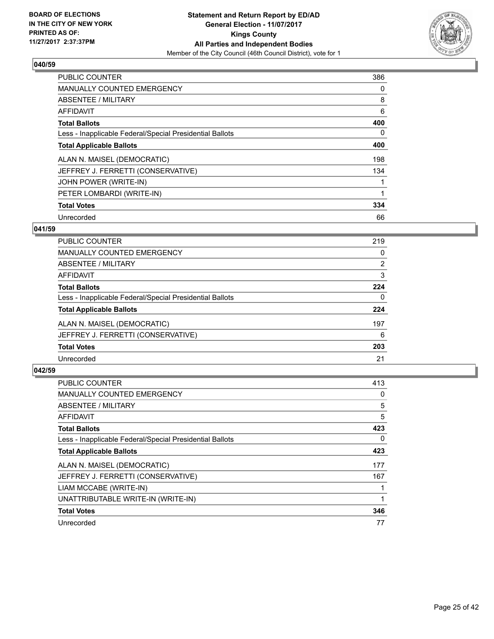

| <b>PUBLIC COUNTER</b>                                    | 386 |
|----------------------------------------------------------|-----|
| <b>MANUALLY COUNTED EMERGENCY</b>                        | 0   |
| ABSENTEE / MILITARY                                      | 8   |
| <b>AFFIDAVIT</b>                                         | 6   |
| <b>Total Ballots</b>                                     | 400 |
| Less - Inapplicable Federal/Special Presidential Ballots | 0   |
| <b>Total Applicable Ballots</b>                          | 400 |
| ALAN N. MAISEL (DEMOCRATIC)                              | 198 |
| JEFFREY J. FERRETTI (CONSERVATIVE)                       | 134 |
| JOHN POWER (WRITE-IN)                                    |     |
| PETER LOMBARDI (WRITE-IN)                                |     |
| <b>Total Votes</b>                                       | 334 |
| Unrecorded                                               | 66  |

# **041/59**

| <b>PUBLIC COUNTER</b>                                    | 219 |
|----------------------------------------------------------|-----|
| <b>MANUALLY COUNTED EMERGENCY</b>                        | 0   |
| ABSENTEE / MILITARY                                      | 2   |
| AFFIDAVIT                                                | 3   |
| <b>Total Ballots</b>                                     | 224 |
| Less - Inapplicable Federal/Special Presidential Ballots | 0   |
| <b>Total Applicable Ballots</b>                          | 224 |
| ALAN N. MAISEL (DEMOCRATIC)                              | 197 |
| JEFFREY J. FERRETTI (CONSERVATIVE)                       | 6   |
| <b>Total Votes</b>                                       | 203 |
| Unrecorded                                               | 21  |

| <b>PUBLIC COUNTER</b>                                    | 413 |
|----------------------------------------------------------|-----|
| <b>MANUALLY COUNTED EMERGENCY</b>                        | 0   |
| ABSENTEE / MILITARY                                      | 5   |
| <b>AFFIDAVIT</b>                                         | 5   |
| <b>Total Ballots</b>                                     | 423 |
| Less - Inapplicable Federal/Special Presidential Ballots | 0   |
| <b>Total Applicable Ballots</b>                          | 423 |
| ALAN N. MAISEL (DEMOCRATIC)                              | 177 |
| JEFFREY J. FERRETTI (CONSERVATIVE)                       | 167 |
| LIAM MCCABE (WRITE-IN)                                   |     |
| UNATTRIBUTABLE WRITE-IN (WRITE-IN)                       |     |
| <b>Total Votes</b>                                       | 346 |
| Unrecorded                                               | 77  |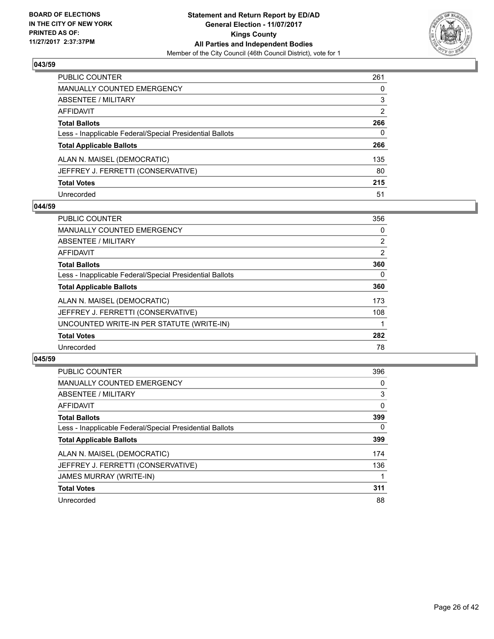

| PUBLIC COUNTER                                           | 261 |
|----------------------------------------------------------|-----|
| <b>MANUALLY COUNTED EMERGENCY</b>                        | 0   |
| <b>ABSENTEE / MILITARY</b>                               | 3   |
| AFFIDAVIT                                                | 2   |
| <b>Total Ballots</b>                                     | 266 |
| Less - Inapplicable Federal/Special Presidential Ballots | 0   |
| <b>Total Applicable Ballots</b>                          | 266 |
| ALAN N. MAISEL (DEMOCRATIC)                              | 135 |
| JEFFREY J. FERRETTI (CONSERVATIVE)                       | 80  |
| <b>Total Votes</b>                                       | 215 |
| Unrecorded                                               | 51  |

# **044/59**

| <b>PUBLIC COUNTER</b>                                    | 356            |
|----------------------------------------------------------|----------------|
| <b>MANUALLY COUNTED EMERGENCY</b>                        | 0              |
| ABSENTEE / MILITARY                                      | $\overline{2}$ |
| AFFIDAVIT                                                | 2              |
| <b>Total Ballots</b>                                     | 360            |
| Less - Inapplicable Federal/Special Presidential Ballots | $\Omega$       |
| <b>Total Applicable Ballots</b>                          | 360            |
| ALAN N. MAISEL (DEMOCRATIC)                              | 173            |
| JEFFREY J. FERRETTI (CONSERVATIVE)                       | 108            |
| UNCOUNTED WRITE-IN PER STATUTE (WRITE-IN)                |                |
| <b>Total Votes</b>                                       | 282            |
| Unrecorded                                               | 78             |

| <b>PUBLIC COUNTER</b>                                    | 396          |
|----------------------------------------------------------|--------------|
| <b>MANUALLY COUNTED EMERGENCY</b>                        | 0            |
| ABSENTEE / MILITARY                                      | 3            |
| <b>AFFIDAVIT</b>                                         | $\mathbf{0}$ |
| <b>Total Ballots</b>                                     | 399          |
| Less - Inapplicable Federal/Special Presidential Ballots | $\Omega$     |
| <b>Total Applicable Ballots</b>                          | 399          |
| ALAN N. MAISEL (DEMOCRATIC)                              | 174          |
| JEFFREY J. FERRETTI (CONSERVATIVE)                       | 136          |
| <b>JAMES MURRAY (WRITE-IN)</b>                           |              |
| <b>Total Votes</b>                                       | 311          |
| Unrecorded                                               | 88           |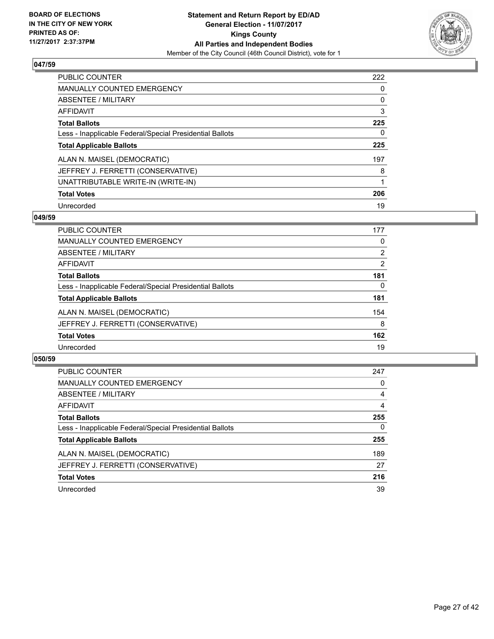

| <b>PUBLIC COUNTER</b>                                    | 222 |
|----------------------------------------------------------|-----|
| <b>MANUALLY COUNTED EMERGENCY</b>                        | 0   |
| ABSENTEE / MILITARY                                      | 0   |
| AFFIDAVIT                                                | 3   |
| <b>Total Ballots</b>                                     | 225 |
| Less - Inapplicable Federal/Special Presidential Ballots | 0   |
| <b>Total Applicable Ballots</b>                          | 225 |
| ALAN N. MAISEL (DEMOCRATIC)                              | 197 |
| JEFFREY J. FERRETTI (CONSERVATIVE)                       | 8   |
| UNATTRIBUTABLE WRITE-IN (WRITE-IN)                       |     |
| <b>Total Votes</b>                                       | 206 |
| Unrecorded                                               | 19  |

## **049/59**

| <b>PUBLIC COUNTER</b>                                    | 177            |
|----------------------------------------------------------|----------------|
| MANUALLY COUNTED EMERGENCY                               | 0              |
| ABSENTEE / MILITARY                                      | $\overline{2}$ |
| AFFIDAVIT                                                | $\overline{2}$ |
| <b>Total Ballots</b>                                     | 181            |
| Less - Inapplicable Federal/Special Presidential Ballots | 0              |
| <b>Total Applicable Ballots</b>                          | 181            |
| ALAN N. MAISEL (DEMOCRATIC)                              | 154            |
| JEFFREY J. FERRETTI (CONSERVATIVE)                       | 8              |
| <b>Total Votes</b>                                       | 162            |
| Unrecorded                                               | 19             |

| <b>PUBLIC COUNTER</b>                                    | 247      |
|----------------------------------------------------------|----------|
| <b>MANUALLY COUNTED EMERGENCY</b>                        | 0        |
| ABSENTEE / MILITARY                                      | 4        |
| AFFIDAVIT                                                | 4        |
| <b>Total Ballots</b>                                     | 255      |
| Less - Inapplicable Federal/Special Presidential Ballots | $\Omega$ |
| <b>Total Applicable Ballots</b>                          | 255      |
| ALAN N. MAISEL (DEMOCRATIC)                              | 189      |
| JEFFREY J. FERRETTI (CONSERVATIVE)                       | 27       |
| <b>Total Votes</b>                                       | 216      |
| Unrecorded                                               | 39       |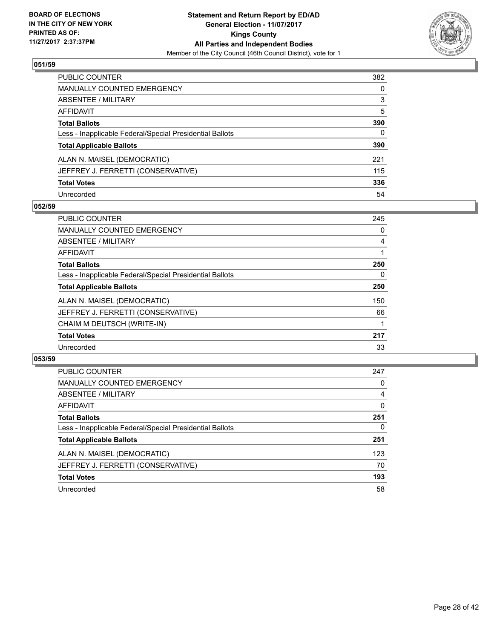

| PUBLIC COUNTER                                           | 382          |
|----------------------------------------------------------|--------------|
| <b>MANUALLY COUNTED EMERGENCY</b>                        | $\Omega$     |
| <b>ABSENTEE / MILITARY</b>                               | 3            |
| AFFIDAVIT                                                | 5            |
| <b>Total Ballots</b>                                     | 390          |
| Less - Inapplicable Federal/Special Presidential Ballots | $\mathbf{0}$ |
| <b>Total Applicable Ballots</b>                          | 390          |
| ALAN N. MAISEL (DEMOCRATIC)                              | 221          |
| JEFFREY J. FERRETTI (CONSERVATIVE)                       | 115          |
| <b>Total Votes</b>                                       | 336          |
| Unrecorded                                               | 54           |

# **052/59**

| <b>PUBLIC COUNTER</b>                                    | 245 |
|----------------------------------------------------------|-----|
| <b>MANUALLY COUNTED EMERGENCY</b>                        | 0   |
| ABSENTEE / MILITARY                                      | 4   |
| <b>AFFIDAVIT</b>                                         |     |
| <b>Total Ballots</b>                                     | 250 |
| Less - Inapplicable Federal/Special Presidential Ballots | 0   |
| <b>Total Applicable Ballots</b>                          | 250 |
| ALAN N. MAISEL (DEMOCRATIC)                              | 150 |
| JEFFREY J. FERRETTI (CONSERVATIVE)                       | 66  |
| CHAIM M DEUTSCH (WRITE-IN)                               |     |
| <b>Total Votes</b>                                       | 217 |
| Unrecorded                                               | 33  |

| <b>PUBLIC COUNTER</b>                                    | 247 |
|----------------------------------------------------------|-----|
| <b>MANUALLY COUNTED EMERGENCY</b>                        | 0   |
| ABSENTEE / MILITARY                                      | 4   |
| AFFIDAVIT                                                | 0   |
| <b>Total Ballots</b>                                     | 251 |
| Less - Inapplicable Federal/Special Presidential Ballots | 0   |
| <b>Total Applicable Ballots</b>                          | 251 |
| ALAN N. MAISEL (DEMOCRATIC)                              | 123 |
| JEFFREY J. FERRETTI (CONSERVATIVE)                       | 70  |
| <b>Total Votes</b>                                       | 193 |
| Unrecorded                                               | 58  |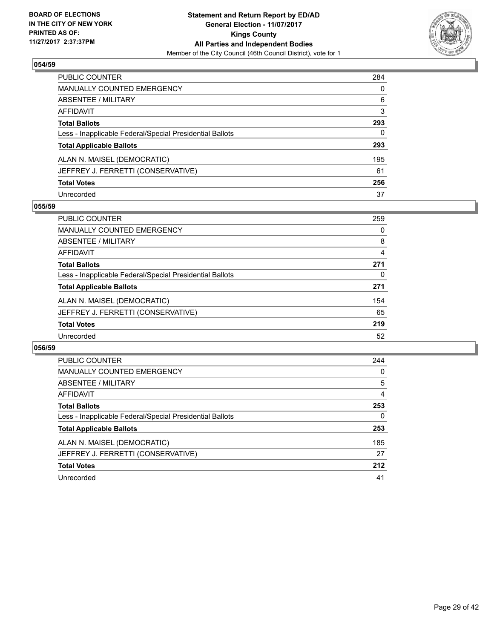

| <b>PUBLIC COUNTER</b>                                    | 284      |
|----------------------------------------------------------|----------|
| <b>MANUALLY COUNTED EMERGENCY</b>                        | $\Omega$ |
| <b>ABSENTEE / MILITARY</b>                               | 6        |
| <b>AFFIDAVIT</b>                                         | 3        |
| <b>Total Ballots</b>                                     | 293      |
| Less - Inapplicable Federal/Special Presidential Ballots | 0        |
| <b>Total Applicable Ballots</b>                          | 293      |
| ALAN N. MAISEL (DEMOCRATIC)                              | 195      |
| JEFFREY J. FERRETTI (CONSERVATIVE)                       | 61       |
| <b>Total Votes</b>                                       | 256      |
| Unrecorded                                               | 37       |

# **055/59**

| <b>PUBLIC COUNTER</b>                                    | 259 |
|----------------------------------------------------------|-----|
| <b>MANUALLY COUNTED EMERGENCY</b>                        | 0   |
| ABSENTEE / MILITARY                                      | 8   |
| AFFIDAVIT                                                | 4   |
| <b>Total Ballots</b>                                     | 271 |
| Less - Inapplicable Federal/Special Presidential Ballots | 0   |
| <b>Total Applicable Ballots</b>                          | 271 |
| ALAN N. MAISEL (DEMOCRATIC)                              | 154 |
| JEFFREY J. FERRETTI (CONSERVATIVE)                       | 65  |
| <b>Total Votes</b>                                       | 219 |
| Unrecorded                                               | 52  |

| PUBLIC COUNTER                                           | 244 |
|----------------------------------------------------------|-----|
| <b>MANUALLY COUNTED EMERGENCY</b>                        | 0   |
| ABSENTEE / MILITARY                                      | 5   |
| <b>AFFIDAVIT</b>                                         | 4   |
| <b>Total Ballots</b>                                     | 253 |
| Less - Inapplicable Federal/Special Presidential Ballots | 0   |
| <b>Total Applicable Ballots</b>                          | 253 |
| ALAN N. MAISEL (DEMOCRATIC)                              | 185 |
| JEFFREY J. FERRETTI (CONSERVATIVE)                       | 27  |
| <b>Total Votes</b>                                       | 212 |
| Unrecorded                                               | 41  |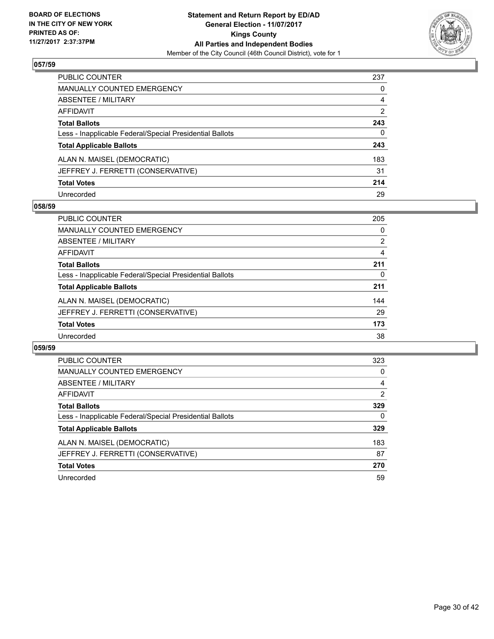

| <b>PUBLIC COUNTER</b>                                    | 237 |
|----------------------------------------------------------|-----|
| <b>MANUALLY COUNTED EMERGENCY</b>                        | 0   |
| ABSENTEE / MILITARY                                      | 4   |
| AFFIDAVIT                                                | 2   |
| <b>Total Ballots</b>                                     | 243 |
| Less - Inapplicable Federal/Special Presidential Ballots | 0   |
| <b>Total Applicable Ballots</b>                          | 243 |
| ALAN N. MAISEL (DEMOCRATIC)                              | 183 |
| JEFFREY J. FERRETTI (CONSERVATIVE)                       | 31  |
| <b>Total Votes</b>                                       | 214 |
| Unrecorded                                               | 29  |

## **058/59**

| <b>PUBLIC COUNTER</b>                                    | 205 |
|----------------------------------------------------------|-----|
| <b>MANUALLY COUNTED EMERGENCY</b>                        | 0   |
| ABSENTEE / MILITARY                                      | 2   |
| AFFIDAVIT                                                | 4   |
| <b>Total Ballots</b>                                     | 211 |
| Less - Inapplicable Federal/Special Presidential Ballots | 0   |
| <b>Total Applicable Ballots</b>                          | 211 |
| ALAN N. MAISEL (DEMOCRATIC)                              | 144 |
| JEFFREY J. FERRETTI (CONSERVATIVE)                       | 29  |
| <b>Total Votes</b>                                       | 173 |
| Unrecorded                                               | 38  |

| PUBLIC COUNTER                                           | 323 |
|----------------------------------------------------------|-----|
| <b>MANUALLY COUNTED EMERGENCY</b>                        | 0   |
| ABSENTEE / MILITARY                                      | 4   |
| <b>AFFIDAVIT</b>                                         | 2   |
| <b>Total Ballots</b>                                     | 329 |
| Less - Inapplicable Federal/Special Presidential Ballots | 0   |
| <b>Total Applicable Ballots</b>                          | 329 |
| ALAN N. MAISEL (DEMOCRATIC)                              | 183 |
| JEFFREY J. FERRETTI (CONSERVATIVE)                       | 87  |
| <b>Total Votes</b>                                       | 270 |
| Unrecorded                                               | 59  |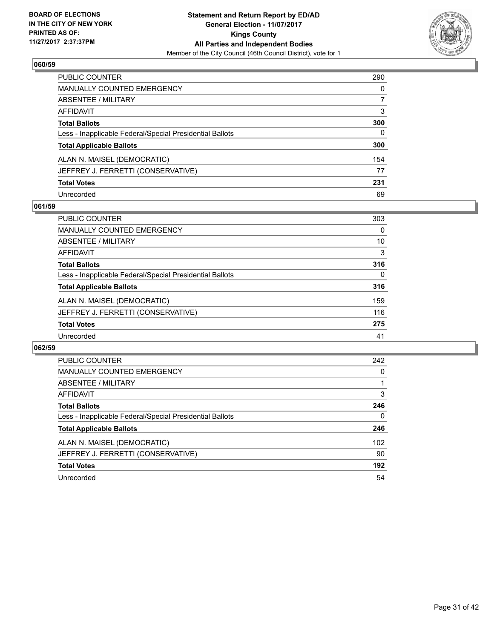

| <b>PUBLIC COUNTER</b>                                    | 290 |
|----------------------------------------------------------|-----|
| <b>MANUALLY COUNTED EMERGENCY</b>                        | 0   |
| ABSENTEE / MILITARY                                      | 7   |
| AFFIDAVIT                                                | 3   |
| <b>Total Ballots</b>                                     | 300 |
| Less - Inapplicable Federal/Special Presidential Ballots | 0   |
| <b>Total Applicable Ballots</b>                          | 300 |
| ALAN N. MAISEL (DEMOCRATIC)                              | 154 |
| JEFFREY J. FERRETTI (CONSERVATIVE)                       | 77  |
| <b>Total Votes</b>                                       | 231 |
| Unrecorded                                               | 69  |

# **061/59**

| <b>PUBLIC COUNTER</b>                                    | 303          |
|----------------------------------------------------------|--------------|
| <b>MANUALLY COUNTED EMERGENCY</b>                        | 0            |
| ABSENTEE / MILITARY                                      | 10           |
| AFFIDAVIT                                                | 3            |
| <b>Total Ballots</b>                                     | 316          |
| Less - Inapplicable Federal/Special Presidential Ballots | $\mathbf{0}$ |
| <b>Total Applicable Ballots</b>                          | 316          |
| ALAN N. MAISEL (DEMOCRATIC)                              | 159          |
| JEFFREY J. FERRETTI (CONSERVATIVE)                       | 116          |
| <b>Total Votes</b>                                       | 275          |
| Unrecorded                                               | 41           |

| <b>PUBLIC COUNTER</b>                                    | 242 |
|----------------------------------------------------------|-----|
| <b>MANUALLY COUNTED EMERGENCY</b>                        | 0   |
| ABSENTEE / MILITARY                                      |     |
| <b>AFFIDAVIT</b>                                         | 3   |
| <b>Total Ballots</b>                                     | 246 |
| Less - Inapplicable Federal/Special Presidential Ballots | 0   |
| <b>Total Applicable Ballots</b>                          | 246 |
| ALAN N. MAISEL (DEMOCRATIC)                              | 102 |
| JEFFREY J. FERRETTI (CONSERVATIVE)                       | 90  |
| <b>Total Votes</b>                                       | 192 |
| Unrecorded                                               | 54  |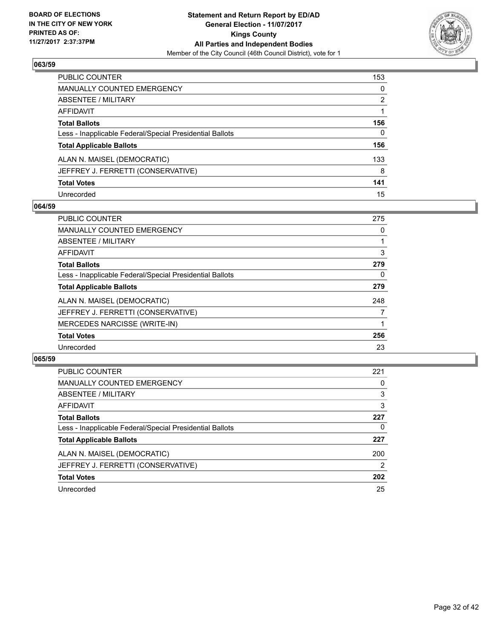

| <b>PUBLIC COUNTER</b>                                    | 153 |
|----------------------------------------------------------|-----|
| <b>MANUALLY COUNTED EMERGENCY</b>                        | 0   |
| ABSENTEE / MILITARY                                      | 2   |
| <b>AFFIDAVIT</b>                                         |     |
| <b>Total Ballots</b>                                     | 156 |
| Less - Inapplicable Federal/Special Presidential Ballots | 0   |
| <b>Total Applicable Ballots</b>                          | 156 |
| ALAN N. MAISEL (DEMOCRATIC)                              | 133 |
| JEFFREY J. FERRETTI (CONSERVATIVE)                       | 8   |
| <b>Total Votes</b>                                       | 141 |
| Unrecorded                                               | 15  |

# **064/59**

| <b>PUBLIC COUNTER</b>                                    | 275 |
|----------------------------------------------------------|-----|
| MANUALLY COUNTED EMERGENCY                               | 0   |
| ABSENTEE / MILITARY                                      |     |
| AFFIDAVIT                                                | 3   |
| <b>Total Ballots</b>                                     | 279 |
| Less - Inapplicable Federal/Special Presidential Ballots | 0   |
| <b>Total Applicable Ballots</b>                          | 279 |
| ALAN N. MAISEL (DEMOCRATIC)                              | 248 |
| JEFFREY J. FERRETTI (CONSERVATIVE)                       |     |
| <b>MERCEDES NARCISSE (WRITE-IN)</b>                      |     |
| <b>Total Votes</b>                                       | 256 |
| Unrecorded                                               | 23  |

| <b>PUBLIC COUNTER</b>                                    | 221 |
|----------------------------------------------------------|-----|
| MANUALLY COUNTED EMERGENCY                               | 0   |
| ABSENTEE / MILITARY                                      | 3   |
| AFFIDAVIT                                                | 3   |
| <b>Total Ballots</b>                                     | 227 |
| Less - Inapplicable Federal/Special Presidential Ballots | 0   |
| <b>Total Applicable Ballots</b>                          | 227 |
| ALAN N. MAISEL (DEMOCRATIC)                              | 200 |
| JEFFREY J. FERRETTI (CONSERVATIVE)                       | 2   |
| <b>Total Votes</b>                                       | 202 |
| Unrecorded                                               | 25  |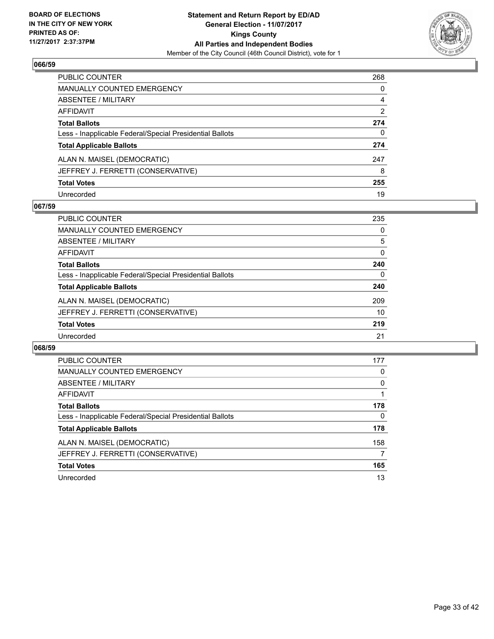

| <b>PUBLIC COUNTER</b>                                    | 268 |
|----------------------------------------------------------|-----|
| <b>MANUALLY COUNTED EMERGENCY</b>                        | 0   |
| ABSENTEE / MILITARY                                      | 4   |
| AFFIDAVIT                                                | 2   |
| <b>Total Ballots</b>                                     | 274 |
| Less - Inapplicable Federal/Special Presidential Ballots | 0   |
| <b>Total Applicable Ballots</b>                          | 274 |
| ALAN N. MAISEL (DEMOCRATIC)                              | 247 |
| JEFFREY J. FERRETTI (CONSERVATIVE)                       | 8   |
| <b>Total Votes</b>                                       | 255 |
| Unrecorded                                               | 19  |

# **067/59**

| <b>PUBLIC COUNTER</b>                                    | 235 |
|----------------------------------------------------------|-----|
| <b>MANUALLY COUNTED EMERGENCY</b>                        | 0   |
| ABSENTEE / MILITARY                                      | 5   |
| AFFIDAVIT                                                | 0   |
| <b>Total Ballots</b>                                     | 240 |
| Less - Inapplicable Federal/Special Presidential Ballots | 0   |
| <b>Total Applicable Ballots</b>                          | 240 |
| ALAN N. MAISEL (DEMOCRATIC)                              | 209 |
| JEFFREY J. FERRETTI (CONSERVATIVE)                       | 10  |
| <b>Total Votes</b>                                       | 219 |
| Unrecorded                                               | 21  |

| PUBLIC COUNTER                                           | 177 |
|----------------------------------------------------------|-----|
| <b>MANUALLY COUNTED EMERGENCY</b>                        | 0   |
| ABSENTEE / MILITARY                                      | 0   |
| <b>AFFIDAVIT</b>                                         |     |
| <b>Total Ballots</b>                                     | 178 |
| Less - Inapplicable Federal/Special Presidential Ballots | 0   |
| <b>Total Applicable Ballots</b>                          | 178 |
| ALAN N. MAISEL (DEMOCRATIC)                              | 158 |
| JEFFREY J. FERRETTI (CONSERVATIVE)                       | 7   |
| <b>Total Votes</b>                                       | 165 |
| Unrecorded                                               | 13  |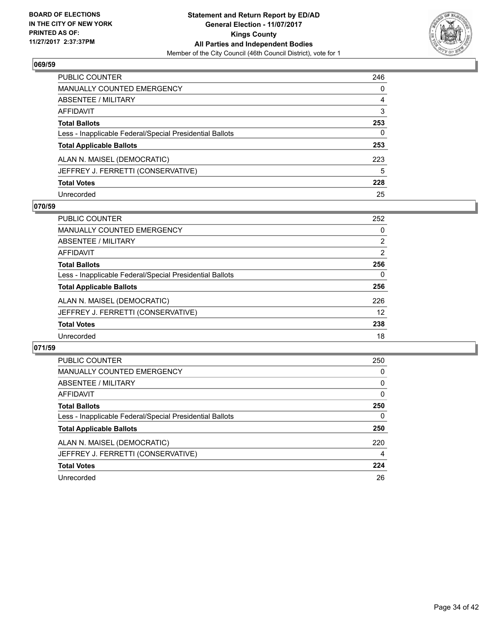

| <b>PUBLIC COUNTER</b>                                    | 246 |
|----------------------------------------------------------|-----|
| <b>MANUALLY COUNTED EMERGENCY</b>                        | 0   |
| ABSENTEE / MILITARY                                      | 4   |
| AFFIDAVIT                                                | 3   |
| <b>Total Ballots</b>                                     | 253 |
| Less - Inapplicable Federal/Special Presidential Ballots | 0   |
| <b>Total Applicable Ballots</b>                          | 253 |
| ALAN N. MAISEL (DEMOCRATIC)                              | 223 |
| JEFFREY J. FERRETTI (CONSERVATIVE)                       | 5   |
| <b>Total Votes</b>                                       | 228 |
| Unrecorded                                               | 25  |

# **070/59**

| <b>PUBLIC COUNTER</b>                                    | 252 |
|----------------------------------------------------------|-----|
| MANUALLY COUNTED EMERGENCY                               | 0   |
| ABSENTEE / MILITARY                                      | 2   |
| AFFIDAVIT                                                | 2   |
| <b>Total Ballots</b>                                     | 256 |
| Less - Inapplicable Federal/Special Presidential Ballots | 0   |
| <b>Total Applicable Ballots</b>                          | 256 |
| ALAN N. MAISEL (DEMOCRATIC)                              | 226 |
| JEFFREY J. FERRETTI (CONSERVATIVE)                       | 12  |
| <b>Total Votes</b>                                       | 238 |
| Unrecorded                                               | 18  |

| <b>PUBLIC COUNTER</b>                                    | 250 |
|----------------------------------------------------------|-----|
| <b>MANUALLY COUNTED EMERGENCY</b>                        | 0   |
| ABSENTEE / MILITARY                                      | 0   |
| <b>AFFIDAVIT</b>                                         | 0   |
| <b>Total Ballots</b>                                     | 250 |
| Less - Inapplicable Federal/Special Presidential Ballots | 0   |
| <b>Total Applicable Ballots</b>                          | 250 |
| ALAN N. MAISEL (DEMOCRATIC)                              | 220 |
| JEFFREY J. FERRETTI (CONSERVATIVE)                       | 4   |
| <b>Total Votes</b>                                       | 224 |
| Unrecorded                                               | 26  |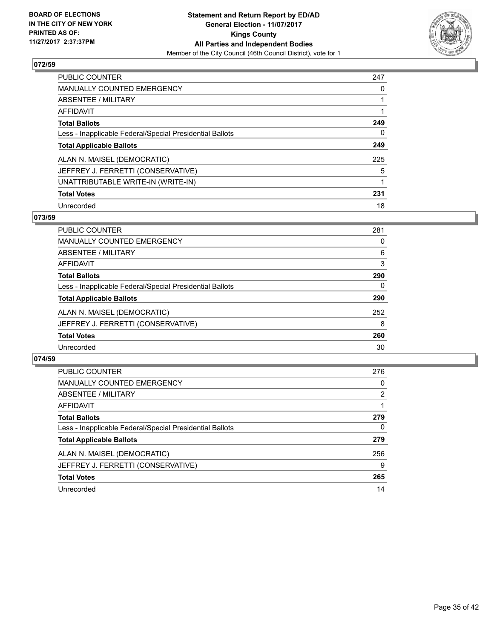

| <b>PUBLIC COUNTER</b>                                    | 247 |
|----------------------------------------------------------|-----|
| <b>MANUALLY COUNTED EMERGENCY</b>                        | 0   |
| ABSENTEE / MILITARY                                      |     |
| AFFIDAVIT                                                |     |
| <b>Total Ballots</b>                                     | 249 |
| Less - Inapplicable Federal/Special Presidential Ballots | 0   |
| <b>Total Applicable Ballots</b>                          | 249 |
| ALAN N. MAISEL (DEMOCRATIC)                              | 225 |
| JEFFREY J. FERRETTI (CONSERVATIVE)                       | 5   |
| UNATTRIBUTABLE WRITE-IN (WRITE-IN)                       |     |
| <b>Total Votes</b>                                       | 231 |
| Unrecorded                                               | 18  |

# **073/59**

| <b>PUBLIC COUNTER</b>                                    | 281 |
|----------------------------------------------------------|-----|
| MANUALLY COUNTED EMERGENCY                               | 0   |
| ABSENTEE / MILITARY                                      | 6   |
| <b>AFFIDAVIT</b>                                         | 3   |
| <b>Total Ballots</b>                                     | 290 |
| Less - Inapplicable Federal/Special Presidential Ballots | 0   |
| <b>Total Applicable Ballots</b>                          | 290 |
| ALAN N. MAISEL (DEMOCRATIC)                              | 252 |
| JEFFREY J. FERRETTI (CONSERVATIVE)                       | 8   |
| <b>Total Votes</b>                                       | 260 |
| Unrecorded                                               | 30  |

| <b>PUBLIC COUNTER</b>                                    | 276 |
|----------------------------------------------------------|-----|
| <b>MANUALLY COUNTED EMERGENCY</b>                        | 0   |
| ABSENTEE / MILITARY                                      | 2   |
| AFFIDAVIT                                                |     |
| <b>Total Ballots</b>                                     | 279 |
| Less - Inapplicable Federal/Special Presidential Ballots | 0   |
| <b>Total Applicable Ballots</b>                          | 279 |
| ALAN N. MAISEL (DEMOCRATIC)                              | 256 |
| JEFFREY J. FERRETTI (CONSERVATIVE)                       | 9   |
| <b>Total Votes</b>                                       | 265 |
| Unrecorded                                               | 14  |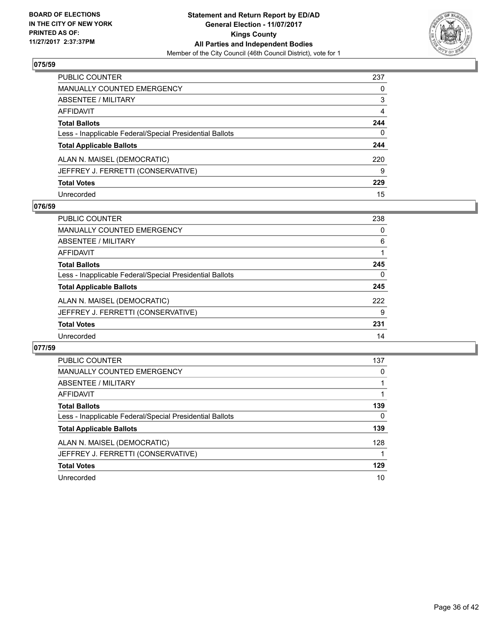

| PUBLIC COUNTER                                           | 237 |
|----------------------------------------------------------|-----|
| <b>MANUALLY COUNTED EMERGENCY</b>                        | 0   |
| <b>ABSENTEE / MILITARY</b>                               | 3   |
| <b>AFFIDAVIT</b>                                         | 4   |
| <b>Total Ballots</b>                                     | 244 |
| Less - Inapplicable Federal/Special Presidential Ballots | 0   |
| <b>Total Applicable Ballots</b>                          | 244 |
| ALAN N. MAISEL (DEMOCRATIC)                              | 220 |
| JEFFREY J. FERRETTI (CONSERVATIVE)                       | 9   |
| <b>Total Votes</b>                                       | 229 |
| Unrecorded                                               | 15  |

## **076/59**

| <b>PUBLIC COUNTER</b>                                    | 238 |
|----------------------------------------------------------|-----|
| <b>MANUALLY COUNTED EMERGENCY</b>                        | 0   |
| ABSENTEE / MILITARY                                      | 6   |
| AFFIDAVIT                                                |     |
| <b>Total Ballots</b>                                     | 245 |
| Less - Inapplicable Federal/Special Presidential Ballots | 0   |
| <b>Total Applicable Ballots</b>                          | 245 |
| ALAN N. MAISEL (DEMOCRATIC)                              | 222 |
| JEFFREY J. FERRETTI (CONSERVATIVE)                       | 9   |
| <b>Total Votes</b>                                       | 231 |
| Unrecorded                                               | 14  |

| PUBLIC COUNTER                                           | 137 |
|----------------------------------------------------------|-----|
| <b>MANUALLY COUNTED EMERGENCY</b>                        | 0   |
| ABSENTEE / MILITARY                                      |     |
| <b>AFFIDAVIT</b>                                         |     |
| <b>Total Ballots</b>                                     | 139 |
| Less - Inapplicable Federal/Special Presidential Ballots | 0   |
| <b>Total Applicable Ballots</b>                          | 139 |
| ALAN N. MAISEL (DEMOCRATIC)                              | 128 |
| JEFFREY J. FERRETTI (CONSERVATIVE)                       |     |
| <b>Total Votes</b>                                       | 129 |
| Unrecorded                                               | 10  |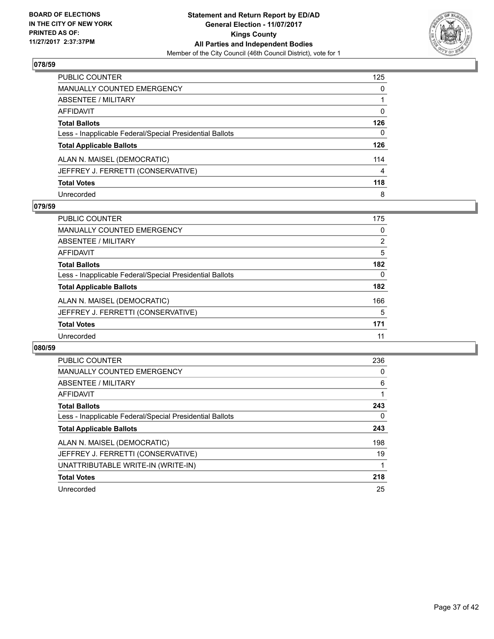

| PUBLIC COUNTER                                           | 125 |
|----------------------------------------------------------|-----|
| <b>MANUALLY COUNTED EMERGENCY</b>                        | 0   |
| ABSENTEE / MILITARY                                      |     |
| <b>AFFIDAVIT</b>                                         | 0   |
| <b>Total Ballots</b>                                     | 126 |
| Less - Inapplicable Federal/Special Presidential Ballots | 0   |
| <b>Total Applicable Ballots</b>                          | 126 |
| ALAN N. MAISEL (DEMOCRATIC)                              | 114 |
| JEFFREY J. FERRETTI (CONSERVATIVE)                       | 4   |
| <b>Total Votes</b>                                       | 118 |
| Unrecorded                                               | 8   |

# **079/59**

| <b>PUBLIC COUNTER</b>                                    | 175 |
|----------------------------------------------------------|-----|
| MANUALLY COUNTED EMERGENCY                               | 0   |
| ABSENTEE / MILITARY                                      | 2   |
| AFFIDAVIT                                                | 5   |
| <b>Total Ballots</b>                                     | 182 |
| Less - Inapplicable Federal/Special Presidential Ballots | 0   |
| <b>Total Applicable Ballots</b>                          | 182 |
| ALAN N. MAISEL (DEMOCRATIC)                              | 166 |
| JEFFREY J. FERRETTI (CONSERVATIVE)                       | 5   |
| <b>Total Votes</b>                                       | 171 |
| Unrecorded                                               | 11  |

| <b>PUBLIC COUNTER</b>                                    | 236 |
|----------------------------------------------------------|-----|
| <b>MANUALLY COUNTED EMERGENCY</b>                        | 0   |
| ABSENTEE / MILITARY                                      | 6   |
| AFFIDAVIT                                                |     |
| <b>Total Ballots</b>                                     | 243 |
| Less - Inapplicable Federal/Special Presidential Ballots | 0   |
| <b>Total Applicable Ballots</b>                          | 243 |
| ALAN N. MAISEL (DEMOCRATIC)                              | 198 |
| JEFFREY J. FERRETTI (CONSERVATIVE)                       | 19  |
| UNATTRIBUTABLE WRITE-IN (WRITE-IN)                       |     |
| <b>Total Votes</b>                                       | 218 |
| Unrecorded                                               | 25  |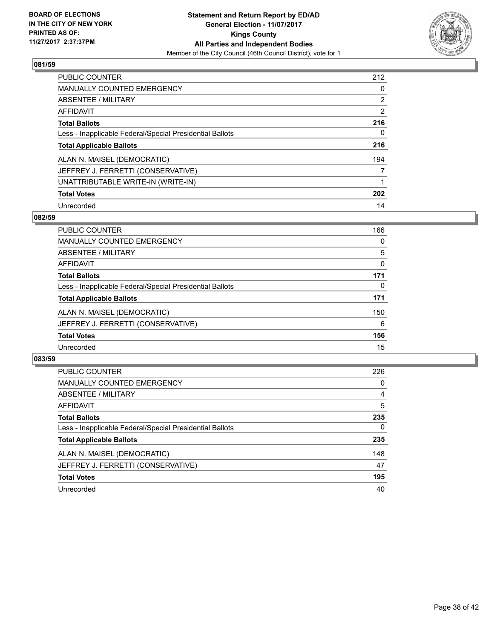

| <b>PUBLIC COUNTER</b>                                    | 212 |
|----------------------------------------------------------|-----|
| <b>MANUALLY COUNTED EMERGENCY</b>                        | 0   |
| ABSENTEE / MILITARY                                      | 2   |
| AFFIDAVIT                                                | 2   |
| <b>Total Ballots</b>                                     | 216 |
| Less - Inapplicable Federal/Special Presidential Ballots | 0   |
| <b>Total Applicable Ballots</b>                          | 216 |
| ALAN N. MAISEL (DEMOCRATIC)                              | 194 |
| JEFFREY J. FERRETTI (CONSERVATIVE)                       | 7   |
| UNATTRIBUTABLE WRITE-IN (WRITE-IN)                       |     |
| <b>Total Votes</b>                                       | 202 |
| Unrecorded                                               | 14  |

## **082/59**

| <b>PUBLIC COUNTER</b>                                    | 166      |
|----------------------------------------------------------|----------|
| MANUALLY COUNTED EMERGENCY                               | 0        |
| ABSENTEE / MILITARY                                      | 5        |
| <b>AFFIDAVIT</b>                                         | 0        |
| <b>Total Ballots</b>                                     | 171      |
| Less - Inapplicable Federal/Special Presidential Ballots | $\Omega$ |
| <b>Total Applicable Ballots</b>                          | 171      |
| ALAN N. MAISEL (DEMOCRATIC)                              | 150      |
| JEFFREY J. FERRETTI (CONSERVATIVE)                       | 6        |
| <b>Total Votes</b>                                       | 156      |
| Unrecorded                                               | 15       |

| <b>PUBLIC COUNTER</b>                                    | 226      |
|----------------------------------------------------------|----------|
| <b>MANUALLY COUNTED EMERGENCY</b>                        | 0        |
| ABSENTEE / MILITARY                                      | 4        |
| AFFIDAVIT                                                | 5        |
| <b>Total Ballots</b>                                     | 235      |
| Less - Inapplicable Federal/Special Presidential Ballots | $\Omega$ |
| <b>Total Applicable Ballots</b>                          | 235      |
| ALAN N. MAISEL (DEMOCRATIC)                              | 148      |
| JEFFREY J. FERRETTI (CONSERVATIVE)                       | 47       |
| <b>Total Votes</b>                                       | 195      |
| Unrecorded                                               | 40       |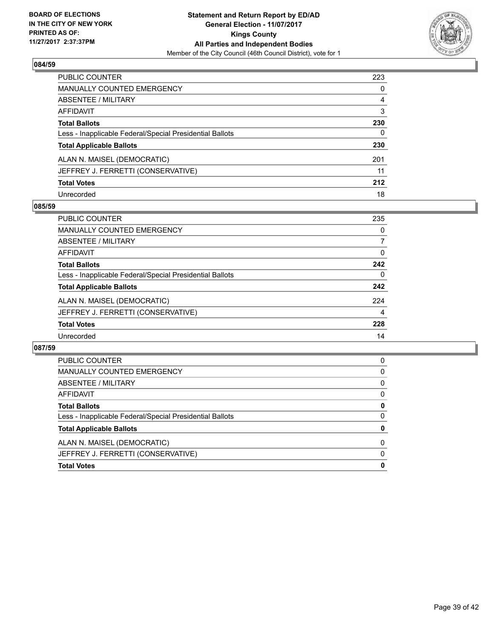

| PUBLIC COUNTER                                           | 223 |
|----------------------------------------------------------|-----|
| <b>MANUALLY COUNTED EMERGENCY</b>                        | 0   |
| ABSENTEE / MILITARY                                      | 4   |
| AFFIDAVIT                                                | 3   |
| <b>Total Ballots</b>                                     | 230 |
| Less - Inapplicable Federal/Special Presidential Ballots | 0   |
| <b>Total Applicable Ballots</b>                          | 230 |
| ALAN N. MAISEL (DEMOCRATIC)                              | 201 |
| JEFFREY J. FERRETTI (CONSERVATIVE)                       | 11  |
| <b>Total Votes</b>                                       | 212 |
| Unrecorded                                               | 18  |

## **085/59**

| <b>PUBLIC COUNTER</b>                                    | 235 |
|----------------------------------------------------------|-----|
| MANUALLY COUNTED EMERGENCY                               | 0   |
| ABSENTEE / MILITARY                                      | 7   |
| AFFIDAVIT                                                | 0   |
| <b>Total Ballots</b>                                     | 242 |
| Less - Inapplicable Federal/Special Presidential Ballots | 0   |
| <b>Total Applicable Ballots</b>                          | 242 |
| ALAN N. MAISEL (DEMOCRATIC)                              | 224 |
| JEFFREY J. FERRETTI (CONSERVATIVE)                       | 4   |
| <b>Total Votes</b>                                       | 228 |
| Unrecorded                                               | 14  |

| <b>Total Votes</b>                                       | 0        |
|----------------------------------------------------------|----------|
| JEFFREY J. FERRETTI (CONSERVATIVE)                       | $\Omega$ |
| ALAN N. MAISEL (DEMOCRATIC)                              | $\Omega$ |
| <b>Total Applicable Ballots</b>                          | 0        |
| Less - Inapplicable Federal/Special Presidential Ballots | 0        |
| <b>Total Ballots</b>                                     | 0        |
| AFFIDAVIT                                                | 0        |
| ABSENTEE / MILITARY                                      | 0        |
| <b>MANUALLY COUNTED EMERGENCY</b>                        | 0        |
| <b>PUBLIC COUNTER</b>                                    | 0        |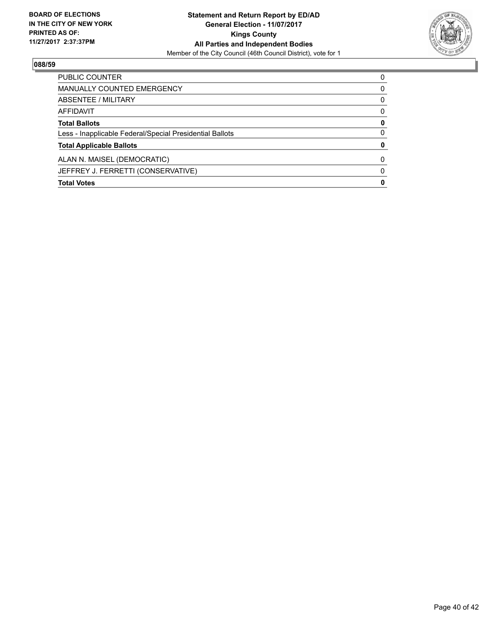

| PUBLIC COUNTER                                           | 0 |
|----------------------------------------------------------|---|
| <b>MANUALLY COUNTED EMERGENCY</b>                        | 0 |
| ABSENTEE / MILITARY                                      | 0 |
| AFFIDAVIT                                                | 0 |
| <b>Total Ballots</b>                                     | 0 |
| Less - Inapplicable Federal/Special Presidential Ballots | 0 |
| <b>Total Applicable Ballots</b>                          | 0 |
| ALAN N. MAISEL (DEMOCRATIC)                              | 0 |
| JEFFREY J. FERRETTI (CONSERVATIVE)                       | 0 |
| <b>Total Votes</b>                                       | 0 |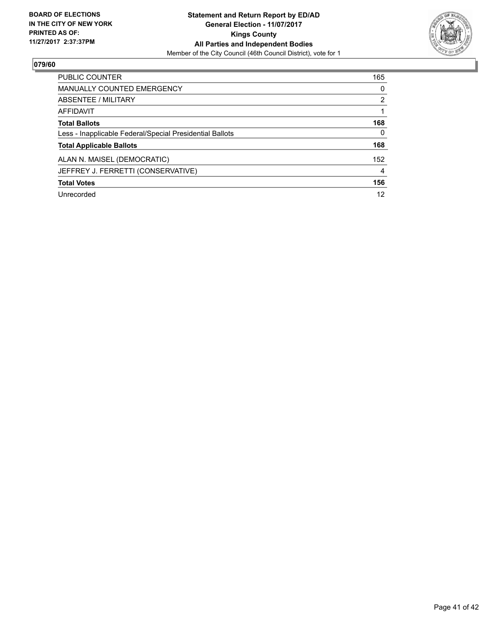

| <b>PUBLIC COUNTER</b>                                    | 165            |
|----------------------------------------------------------|----------------|
| <b>MANUALLY COUNTED EMERGENCY</b>                        | 0              |
| ABSENTEE / MILITARY                                      | $\overline{2}$ |
| AFFIDAVIT                                                |                |
| <b>Total Ballots</b>                                     | 168            |
| Less - Inapplicable Federal/Special Presidential Ballots | 0              |
| <b>Total Applicable Ballots</b>                          | 168            |
| ALAN N. MAISEL (DEMOCRATIC)                              | 152            |
| JEFFREY J. FERRETTI (CONSERVATIVE)                       | 4              |
| <b>Total Votes</b>                                       | 156            |
| Unrecorded                                               | 12             |